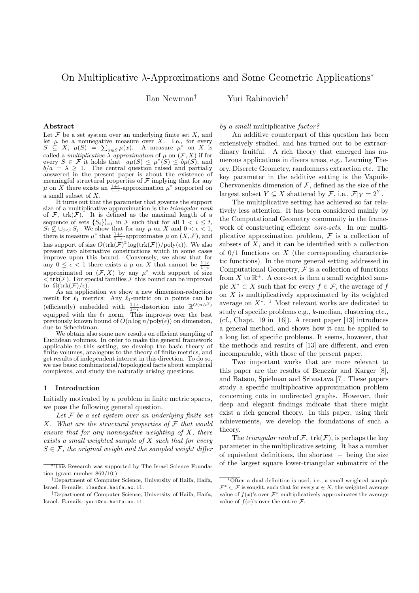# On Multiplicative λ-Approximations and Some Geometric Applications<sup>∗</sup>

Ilan Newman† Yuri Rabinovich‡

# Abstract

Let  $\mathcal F$  be a set system over an underlying finite set  $X$ , and let  $\mu$  be a nonnegative measure over X. I.e., for every  $S \subseteq X$ ,  $\mu(S) = \sum_{x \in S} \mu(x)$ . A measure  $\mu^*$  on X is called a *multiplicative*  $\widetilde{\lambda}$ -*approximation* of  $\mu$  on  $(\mathcal{F}, X)$  if for every  $S \in \mathcal{F}$  it holds that  $a\mu(S) \leq \mu^*(S) \leq b\mu(S)$ , and  $b/a = \lambda \geq 1$ . The central question raised and partially answered in the present paper is about the existence of meaningful structural properties of  $\mathcal F$  implying that for any  $\mu$  on X there exists an  $\frac{1+\epsilon}{1-\epsilon}$ -approximation  $\mu^*$  supported on a small subset of X.

It turns out that the parameter that governs the support size of a multiplicative approximation is the *triangular rank* of  $\mathcal{F}$ , trk $(\mathcal{F})$ . It is defined as the maximal length of a sequence of sets  $\{S_i\}_{i=1}^t$  in F such that for all  $1 < i \leq t$ ,  $S_i \nsubseteq \bigcup_{i \leq i} S_i$ . We show that for any  $\mu$  on X and  $0 \lt \epsilon \lt 1$ , there is measure  $\mu^*$  that  $\frac{1+\epsilon}{1-\epsilon}$ -approximates  $\mu$  on  $(X, \mathcal{F})$ , and has support of size  $O(\text{trk}(\mathcal{F})^2 \log(\text{trk}(\mathcal{F}))/\text{poly}(\epsilon))$ . We also present two alternative constructions which in some cases improve upon this bound. Conversely, we show that for any  $0 \leq \epsilon < 1$  there exists a  $\mu$  on X that cannot be  $\frac{1+\epsilon}{1-\epsilon}$ approximated on  $(\mathcal{F}, X)$  by any  $\mu^*$  with support of size  $\langle \text{trk}(\mathcal{F}) \rangle$ . For special families  $\mathcal{F}$  this bound can be improved to  $\Omega(\text{trk}(\mathcal{F})/\epsilon)$ .

As an application we show a new dimension-reduction result for  $\ell_1$  metrics: Any  $\ell_1$ -metric on n points can be (efficiently) embedded with  $\frac{1+\epsilon}{1-\epsilon}$ -distortion into  $\mathbb{R}^{O(n/\epsilon^2)}$ equipped with the  $\ell_1$  norm. This improves over the best previously known bound of  $O(n \log n / \text{poly}(\epsilon))$  on dimension, due to Schechtman.

We obtain also some new results on efficient sampling of Euclidean volumes. In order to make the general framework applicable to this setting, we develop the basic theory of finite volumes, analogous to the theory of finite metrics, and get results of independent interest in this direction. To do so, we use basic combinatorial/topological facts about simplicial complexes, and study the naturally arising questions.

# 1 Introduction

Initially motivated by a problem in finite metric spaces, we pose the following general question.

Let  $F$  be a set system over an underlying finite set  $X$ . What are the structural properties of  $\mathcal F$  that would ensure that for any nonnegative weighting of  $X$ , there exists a small weighted sample of X such that for every  $S \in \mathcal{F}$ , the original weight and the sampled weight differ by a small multiplicative factor?

An additive counterpart of this question has been extensively studied, and has turned out to be extraordinary fruitful. A rich theory that emerged has numerous applications in divers areas, e.g., Learning Theory, Discrete Geometry, randomness extraction etc. The key parameter in the additive setting is the Vapnik-Chervonenkis dimension of  $F$ , defined as the size of the largest subset  $Y \subseteq X$  shattered by  $\mathcal{F}$ , i.e.,  $\mathcal{F}|_Y = 2^Y$ .

The multiplicative setting has achieved so far relatively less attention. It has been considered mainly by the Computational Geometry community in the framework of constructing efficient core-sets. In our multiplicative approximation problem,  $\mathcal F$  is a collection of subsets of  $X$ , and it can be identified with a collection of  $0/1$  functions on X (the corresponding characteristic functions). In the more general setting addressed in Computational Geometry,  $\mathcal F$  is a collection of functions from X to  $\mathbb{R}^+$ . A core-set is then a small weighted sample  $X^* \subset X$  such that for every  $f \in \mathcal{F}$ , the average of f on  $X$  is multiplicatively approximated by its weighted average on  $X^*$ . <sup>1</sup> Most relevant works are dedicated to study of specific problems e.g., k-median, clustering etc., (cf., Chapt. 19 in  $[16]$ ). A recent paper  $[13]$  introduces a general method, and shows how it can be applied to a long list of specific problems. It seems, however, that the methods and results of [13] are different, and even incomparable, with those of the present paper.

Two important works that are more relevant to this paper are the results of Benczúr and Karger  $[8]$ , and Batson, Spielman and Srivastava [7]. These papers study a specific multiplicative approximation problem concerning cuts in undirected graphs. However, their deep and elegant findings indicate that there might exist a rich general theory. In this paper, using their achievements, we develop the foundations of such a theory.

The *triangular rank* of  $\mathcal{F}$ , trk $(\mathcal{F})$ , is perhaps the key parameter in the multiplicative setting. It has a number of equivalent definitions, the shortest − being the size of the largest square lower-triangular submatrix of the

<sup>∗</sup>This Research was supported by The Israel Science Foundation (grant number 862/10.)

<sup>†</sup>Department of Computer Science, University of Haifa, Haifa, Israel. E-mails: ilan@cs.haifa.ac.il.

<sup>‡</sup>Department of Computer Science, University of Haifa, Haifa, Israel. E-mails: yuri@cs.haifa.ac.il.

 $1$ Often a dual definition is used, i.e., a small weighted sample  $\mathcal{F}^* \subset \mathcal{F}$  is sought, such that for every  $x \in X$ , the weighted average value of  $f(x)$ 's over  $\mathcal{F}^*$  multiplicatively approximates the average value of  $f(x)$ 's over the entire  $\mathcal{F}$ .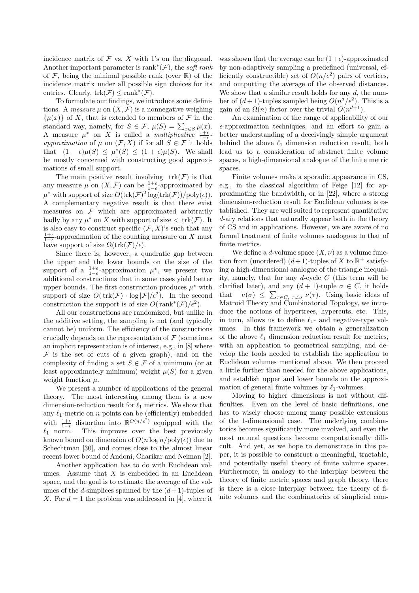incidence matrix of  $\mathcal F$  vs.  $X$  with 1's on the diagonal. Another important parameter is rank<sup>\*</sup> $(F)$ , the *soft rank* of  $\mathcal F$ , being the minimal possible rank (over  $\mathbb R$ ) of the incidence matrix under all possible sign choices for its entries. Clearly,  $trk(\mathcal{F}) \leq \text{rank}^*(\mathcal{F})$ .

To formulate our findings, we introduce some definitions. A measure  $\mu$  on  $(X, \mathcal{F})$  is a nonnegative weighing  $\{\mu(x)\}\$  of X, that is extended to members of F in the standard way, namely, for  $S \in \mathcal{F}$ ,  $\mu(S) = \sum_{x \in S} \mu(x)$ . A measure  $\mu^*$  on X is called a *multiplicative*  $\frac{1+\epsilon}{1-\epsilon}$ approximation of  $\mu$  on  $(\mathcal{F}, X)$  if for all  $S \in \mathcal{F}$  it holds that  $(1 - \epsilon)\mu(S) \leq \mu^*(S) \leq (1 + \epsilon)\mu(S)$ . We shall be mostly concerned with constructing good approximations of small support.

The main positive result involving  $trk(\mathcal{F})$  is that any measure  $\mu$  on  $(X, \mathcal{F})$  can be  $\frac{1+\epsilon}{1-\epsilon}$ -approximated by  $\mu^*$  with support of size  $O(\text{trk}(\mathcal{F})^2 \log(\text{trk}(\mathcal{F}))/\text{poly}(\epsilon)).$ A complementary negative result is that there exist measures on  $\mathcal F$  which are approximated arbitrarily badly by any  $\mu^*$  on X with support of size  $\langle \text{trk}(\mathcal{F}) \rangle$ . It is also easy to construct specific  $(\mathcal{F}, X)$ 's such that any  $\frac{1+\epsilon}{1-\epsilon}$ -approximation of the counting measure on X must have support of size  $\Omega(\text{trk}(\mathcal{F})/\epsilon)$ .

Since there is, however, a quadratic gap between the upper and the lower bounds on the size of the support of a  $\frac{1+\epsilon}{1-\epsilon}$ -approximation  $\mu^*$ , we present two additional constructions that in some cases yield better upper bounds. The first construction produces  $\mu^*$  with support of size  $O(\text{trk}(\mathcal{F}) \cdot \log |\mathcal{F}|/\epsilon^2)$ . In the second construction the support is of size  $O(\text{rank}^*(\mathcal{F})/\epsilon^2)$ .

All our constructions are randomized, but unlike in the additive setting, the sampling is not (and typically cannot be) uniform. The efficiency of the constructions crucially depends on the representation of  $\mathcal F$  (sometimes an implicit representation is of interest, e.g., in [8] where  $\mathcal F$  is the set of cuts of a given graph), and on the complexity of finding a set  $S \in \mathcal{F}$  of a minimum (or at least approximately minimum) weight  $\mu(S)$  for a given weight function  $\mu$ .

We present a number of applications of the general theory. The most interesting among them is a new dimension-reduction result for  $\ell_1$  metrics. We show that any  $\ell_1$ -metric on n points can be (efficiently) embedded with  $\frac{1+\epsilon}{1-\epsilon}$  distortion into  $\mathbb{R}^{O(n/\epsilon^2)}$  equipped with the  $\ell_1$  norm. This improves over the best previously known bound on dimension of  $O(n \log n / \text{poly}(\epsilon))$  due to Schechtman [30], and comes close to the almost linear recent lower bound of Andoni, Charikar and Neiman [2].

Another application has to do with Euclidean volumes. Assume that  $X$  is embedded in an Euclidean space, and the goal is to estimate the average of the volumes of the *d*-simplices spanned by the  $(d+1)$ -tuples of X. For  $d = 1$  the problem was addressed in [4], where it was shown that the average can be  $(1+\epsilon)$ -approximated by non-adaptively sampling a predefined (universal, efficiently constructible) set of  $O(n/\epsilon^2)$  pairs of vertices, and outputting the average of the observed distances. We show that a similar result holds for any  $d$ , the number of  $(d+1)$ -tuples sampled being  $O(n^d/\epsilon^2)$ . This is a gain of an  $\Omega(n)$  factor over the trivial  $O(n^{d+1})$ .

An examination of the range of applicability of our  $\epsilon$ -approximation techniques, and an effort to gain a better understanding of a deceivingly simple argument behind the above  $\ell_1$  dimension reduction result, both lead us to a consideration of abstract finite volume spaces, a high-dimensional analogue of the finite metric spaces.

Finite volumes make a sporadic appearance in CS, e.g., in the classical algorithm of Feige [12] for approximating the bandwidth, or in [22], where a strong dimension-reduction result for Euclidean volumes is established. They are well suited to represent quantitative d-ary relations that naturally appear both in the theory of CS and in applications. However, we are aware of no formal treatment of finite volumes analogous to that of finite metrics.

We define a d-volume space  $(X, \nu)$  as a volume function from (unordered)  $(d+1)$ -tuples of X to  $\mathbb{R}^+$  satisfying a high-dimensional analogue of the triangle inequality, namely, that for any d-cycle  $C$  (this term will be clarified later), and any  $(d+1)$ -tuple  $\sigma \in C$ , it holds that  $\nu(\sigma) \leq \sum_{\tau \in C, \tau \neq \sigma} \nu(\tau)$ . Using basic ideas of Matroid Theory and Combinatorial Topology, we introduce the notions of hypertrees, hypercuts, etc. This, in turn, allows us to define  $\ell_1$ - and negative-type volumes. In this framework we obtain a generalization of the above  $\ell_1$  dimension reduction result for metrics, with an application to geometrical sampling, and develop the tools needed to establish the application to Euclidean volumes mentioned above. We then proceed a little further than needed for the above applications, and establish upper and lower bounds on the approximation of general finite volumes by  $\ell_1$ -volumes.

Moving to higher dimensions is not without difficulties. Even on the level of basic definitions, one has to wisely choose among many possible extensions of the 1-dimensional case. The underlying combinatorics becomes significantly more involved, and even the most natural questions become computationally difficult. And yet, as we hope to demonstrate in this paper, it is possible to construct a meaningful, tractable, and potentially useful theory of finite volume spaces. Furthermore, in analogy to the interplay between the theory of finite metric spaces and graph theory, there is there is a close interplay between the theory of finite volumes and the combinatorics of simplicial com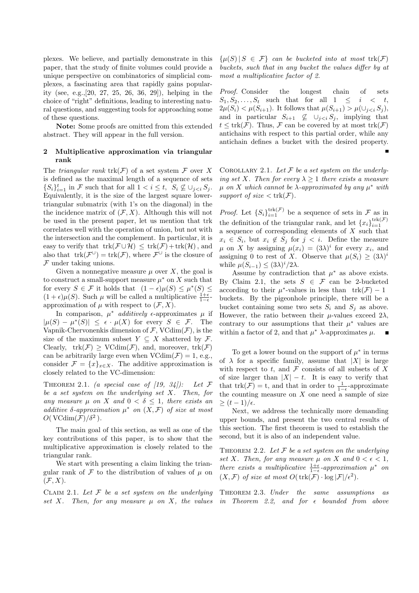plexes. We believe, and partially demonstrate in this paper, that the study of finite volumes could provide a unique perspective on combinatorics of simplicial complexes, a fascinating area that rapidly gains popularity (see, e.g.,[20, 27, 25, 26, 36, 29]), helping in the choice of "right" definitions, leading to interesting natural questions, and suggesting tools for approaching some of these questions.

Note: Some proofs are omitted from this extended abstract. They will appear in the full version.

# 2 Multiplicative approximation via triangular rank

The *triangular rank* trk $(F)$  of a set system F over X is defined as the maximal length of a sequence of sets  $\{S_i\}_{i=1}^t$  in  $\mathcal F$  such that for all  $1 < i \leq t$ ,  $S_i \not\subseteq \cup_{j < i} S_j$ . Equivalently, it is the size of the largest square lowertriangular submatrix (with 1's on the diagonal) in the the incidence matrix of  $(\mathcal{F}, X)$ . Although this will not be used in the present paper, let us mention that trk correlates well with the operation of union, but not with the intersection and the complement. In particular, it is easy to verify that  $trk(\mathcal{F} \cup \mathcal{H}) \leq trk(\mathcal{F}) + trk(\mathcal{H}),$  and also that  $trk(\mathcal{F}^{\cup}) = trk(\mathcal{F})$ , where  $\mathcal{F}^{\cup}$  is the closure of  $F$  under taking unions.

Given a nonnegative measure  $\mu$  over X, the goal is to construct a small-support measure  $\mu^*$  on X such that for every  $S \in \mathcal{F}$  it holds that  $(1 - \epsilon)\mu(S) \leq \mu^*(S) \leq$  $(1+\epsilon)\mu(S)$ . Such  $\mu$  will be called a multiplicative  $\frac{1+\epsilon}{1-\epsilon}$ . approximation of  $\mu$  with respect to  $(\mathcal{F}, X)$ .

In comparison,  $\mu^*$  *additively*  $\epsilon$ -approximates  $\mu$  if  $|\mu(S) - \mu^*(S)| \leq \epsilon \cdot \mu(X)$  for every  $S \in \mathcal{F}$ . The Vapnik-Chervonenkis dimension of  $\mathcal{F}$ , VCdim $(\mathcal{F})$ , is the size of the maximum subset  $Y \subseteq X$  shattered by F. Clearly,  $trk(\mathcal{F}) \geq \text{VCdim}(\mathcal{F})$ , and, moreover,  $trk(\mathcal{F})$ can be arbitrarily large even when  $VCdim(\mathcal{F}) = 1$ , e.g., consider  $\mathcal{F} = \{x\}_{x \in X}$ . The additive approximation is closely related to the VC-dimension:

THEOREM 2.1. (a special case of  $(19, 34)$ ): Let F be a set system on the underlying set X. Then, for any measure  $\mu$  on X and  $0 < \delta \leq 1$ , there exists an additive  $\delta$ -approximation  $\mu^*$  on  $(X, \mathcal{F})$  of size at most  $O(VCdim(\mathcal{F})/\delta^2)$ .

The main goal of this section, as well as one of the key contributions of this paper, is to show that the multiplicative approximation is closely related to the triangular rank.

We start with presenting a claim linking the triangular rank of  $\mathcal F$  to the distribution of values of  $\mu$  on  $(\mathcal{F}, X)$ .

CLAIM 2.1. Let  $\mathcal F$  be a set system on the underlying set X. Then, for any measure  $\mu$  on X, the values  $\{\mu(S) | S \in \mathcal{F}\}\$ can be bucketed into at most trk $(\mathcal{F})$ buckets, such that in any bucket the values differ by at most a multiplicative factor of 2.

Proof. Consider the longest chain of sets  $S_1, S_2, \ldots, S_t$  such that for all  $1 \leq i \leq t$ ,  $2\mu(S_i) < \mu(S_{i+1})$ . It follows that  $\mu(S_{i+1}) > \mu(\cup_{i \leq i} S_i)$ , and in particular  $S_{i+1} \not\subseteq \cup_{j < i} S_j$ , implying that  $t \leq \text{trk}(\mathcal{F})$ . Thus,  $\mathcal F$  can be covered by at most  $\text{trk}(\mathcal{F})$ antichains with respect to this partial order, while any antichain defines a bucket with the desired property.

COROLLARY 2.1. Let  $\mathcal F$  be a set system on the underlying set X. Then for every  $\lambda \geq 1$  there exists a measure  $\mu$  on X which cannot be  $\lambda$ -approximated by any  $\mu^*$  with support of size  $\langle \text{trk}(\mathcal{F}) \rangle$ .

*Proof.* Let  $\{S_i\}_{i=1}^{\text{trk}(\mathcal{F})}$  be a sequence of sets in  $\mathcal{F}$  as in the definition of the triangular rank, and let  $\{x_i\}_{i=1}^{\text{trk}(\mathcal{F})}$ a sequence of corresponding elements of  $X$  such that  $x_i \in S_i$ , but  $x_i \notin S_j$  for  $j < i$ . Define the measure  $\mu$  on X by assigning  $\mu(x_i) = (3\lambda)^i$  for every  $x_i$ , and assigning 0 to rest of X. Observe that  $\mu(S_i) \geq (3\lambda)^i$ while  $\mu(S_{i-1}) \leq (3\lambda)^i/2\lambda$ .

Assume by contradiction that  $\mu^*$  as above exists. By Claim 2.1, the sets  $S \in \mathcal{F}$  can be 2-bucketed according to their  $\mu^*$ -values in less than trk $(\mathcal{F}) - 1$ buckets. By the pigeonhole principle, there will be a bucket containing some two sets  $S_i$  and  $S_j$  as above. However, the ratio between their  $\mu$ -values exceed 2 $\lambda$ , contrary to our assumptions that their  $\mu^*$  values are within a factor of 2, and that  $\mu^*$   $\lambda$ -approximates  $\mu$ .

To get a lower bound on the support of  $\mu^*$  in terms of  $\lambda$  for a specific family, assume that |X| is large with respect to t, and  $\mathcal F$  consists of all subsets of X of size larger than  $|X| - t$ . It is easy to verify that that  $trk(\mathcal{F}) = t$ , and that in order to  $\frac{1}{1-\epsilon}$ -approximate the counting measure on  $X$  one need a sample of size  $\geq (t-1)/\epsilon.$ 

Next, we address the technically more demanding upper bounds, and present the two central results of this section. The first theorem is used to establish the second, but it is also of an independent value.

THEOREM 2.2. Let  $F$  be a set system on the underlying set X. Then, for any measure  $\mu$  on X and  $0 < \epsilon < 1$ , there exists a multiplicative  $\frac{1+\epsilon}{1-\epsilon}$ -approximation  $\mu^*$  on  $(X,\mathcal{F})$  of size at most  $O(\text{trk}(\mathcal{F})\cdot \log |\mathcal{F}|/\epsilon^2)$ .

THEOREM 2.3. Under the same assumptions as in Theorem 2.2, and for  $\epsilon$  bounded from above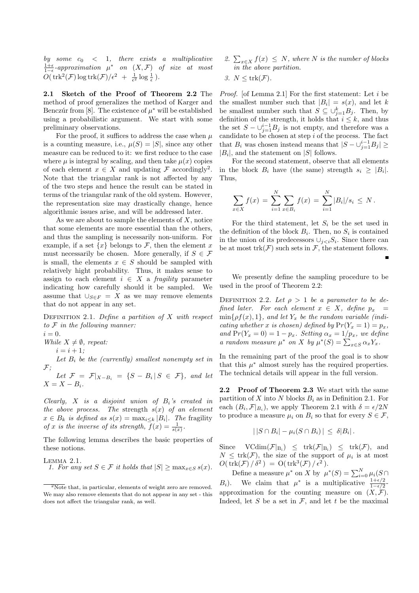by some  $c_0 < 1$ , there exists a multiplicative  $\frac{1+\epsilon}{1-\epsilon}$ -approximation  $\mu^*$  on  $(X,\mathcal{F})$  of size at most  $O(\text{trk}^2(\mathcal{F})\log \text{trk}(\mathcal{F})/\epsilon^2 + \frac{1}{\epsilon^2}\log \frac{1}{\epsilon}).$ 

2.1 Sketch of the Proof of Theorem 2.2 The method of proof generalizes the method of Karger and Benczúr from [8]. The existence of  $\mu^*$  will be established using a probabilistic argument. We start with some preliminary observations.

For the proof, it suffices to address the case when  $\mu$ is a counting measure, i.e.,  $\mu(S) = |S|$ , since any other measure can be reduced to it: we first reduce to the case where  $\mu$  is integral by scaling, and then take  $\mu(x)$  copies of each element  $x \in X$  and updating  $\mathcal F$  accordingly<sup>2</sup>. Note that the triangular rank is not affected by any of the two steps and hence the result can be stated in terms of the triangular rank of the old system. However, the representation size may drastically change, hence algorithmic issues arise, and will be addressed later.

As we are about to sample the elements of  $X$ , notice that some elements are more essential than the others, and thus the sampling is necessarily non-uniform. For example, if a set  $\{x\}$  belongs to  $\mathcal F$ , then the element x must necessarily be chosen. More generally, if  $S \in \mathcal{F}$ is small, the elements  $x \in S$  should be sampled with relatively hight probability. Thus, it makes sense to assign to each element  $i \in X$  a *fragility* parameter indicating how carefully should it be sampled. We assume that  $\bigcup_{S\in F} = X$  as we may remove elements that do not appear in any set.

DEFINITION 2.1. Define a partition of  $X$  with respect to  $F$  in the following manner:  $i = 0$ .

While  $X \neq \emptyset$ , repeat:

 $i = i + 1$ :

Let  $B_i$  be the (currently) smallest nonempty set in  ${\mathcal F};$ 

Let  $\mathcal{F} = \mathcal{F}|_{X-B_i} = \{S - B_i | S \in \mathcal{F}\},\$  and let  $X = X - B_i.$ 

Clearly,  $X$  is a disjoint union of  $B_i$ 's created in the above process. The strength  $s(x)$  of an element  $x \in B_k$  is defined as  $s(x) = \max_{i \leq k} |B_i|$ . The fragility of x is the inverse of its strength,  $\overline{f}(x) = \frac{1}{s(x)}$ .

The following lemma describes the basic properties of these notions.

LEMMA 2.1.  
1. For any set 
$$
S \in \mathcal{F}
$$
 it holds that  $|S| \ge \max_{x \in S} s(x)$ .

2.  $\sum_{x \in X} f(x) \leq N$ , where N is the number of blocks in the above partition.

3. 
$$
N \leq \text{trk}(\mathcal{F}).
$$

Proof. [of Lemma 2.1] For the first statement: Let i be the smallest number such that  $|B_i| = s(x)$ , and let k be smallest number such that  $S \subseteq \bigcup_{j=1}^{k} B_j$ . Then, by definition of the strength, it holds that  $i \leq k$ , and thus the set  $S - \bigcup_{j=1}^{i-1} B_j$  is not empty, and therefore was a candidate to be chosen at step  $i$  of the process. The fact that  $B_i$  was chosen instead means that  $|S - \bigcup_{j=1}^{i-1} B_j| \geq$  $|B_i|$ , and the statement on  $|S|$  follows.

For the second statement, observe that all elements in the block  $B_i$  have (the same) strength  $s_i \geq |B_i|$ . Thus,

$$
\sum_{x \in X} f(x) = \sum_{i=1}^{N} \sum_{x \in B_i} f(x) = \sum_{i=1}^{N} |B_i|/s_i \leq N.
$$

For the third statement, let  $S_i$  be the set used in the definition of the block  $B_i$ . Then, no  $S_i$  is contained in the union of its predecessors  $\cup_{j. Since there can$ be at most  $trk(\mathcal{F})$  such sets in  $\mathcal{F}$ , the statement follows.

We presently define the sampling procedure to be used in the proof of Theorem 2.2:

DEFINITION 2.2. Let  $\rho > 1$  be a parameter to be defined later. For each element  $x \in X$ , define  $p_x$  $\min\{\rho f(x), 1\}$ , and let  $Y_x$  be the random variable (indicating whether x is chosen) defined by  $Pr(Y_x = 1) = p_x$ , and  $Pr(Y_x = 0) = 1 - p_x$ . Setting  $\alpha_x = 1/p_x$ , we define a random measure  $\mu^*$  on X by  $\mu^*(S) = \sum_{x \in S} \alpha_x Y_x$ .

In the remaining part of the proof the goal is to show that this  $\mu^*$  almost surely has the required properties. The technical details will appear in the full version.

2.2 Proof of Theorem 2.3 We start with the same partition of X into N blocks  $B_i$  as in Definition 2.1. For each  $(B_i, \mathcal{F}|_{B_i})$ , we apply Theorem 2.1 with  $\delta = \epsilon/2N$ to produce a measure  $\mu_i$  on  $B_i$  so that for every  $S \in \mathcal{F}$ ,

$$
| |S \cap B_i | - \mu_i(S \cap B_i) | \leq \delta |B_i|.
$$

Since  $VCdim(\mathcal{F}|_{B_i}) \leq trk(\mathcal{F}|_{B_i}) \leq trk(\mathcal{F})$ , and  $N \leq \text{trk}(\mathcal{F})$ , the size of the support of  $\mu_i$  is at most  $O(\text{trk}(\mathcal{F})/\delta^2) = O(\text{trk}^3(\mathcal{F})/\epsilon^2).$ 

Define a measure  $\mu^*$  on X by  $\mu^*(S) = \sum_{i=0}^N \mu_i(S)$ B<sub>i</sub>). We claim that  $\mu^*$  is a multiplicative  $\frac{1+\epsilon/2}{1-\epsilon/2}$ approximation for the counting measure on  $(X, \mathcal{F})$ . Indeed, let  $S$  be a set in  $\mathcal{F}$ , and let  $t$  be the maximal

 $2\text{Note that, in particular, elements of weight zero are removed.}$ We may also remove elements that do not appear in any set - this does not affect the triangular rank, as well.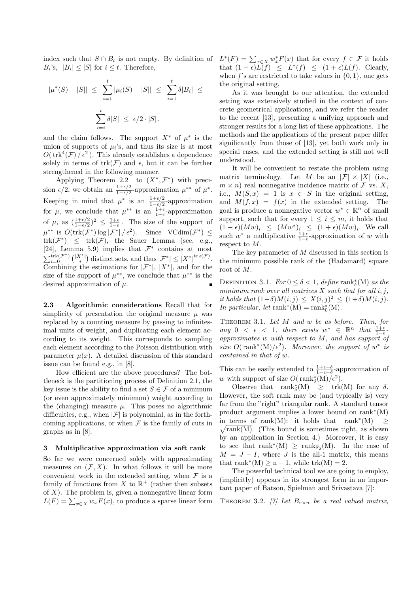$B_i$ 's,  $|B_i| \leq |S|$  for  $i \leq t$ . Therefore,

$$
|\mu^*(S) - |S|| \le \sum_{i=1}^t |\mu_i(S) - |S|| \le \sum_{i=1}^t \delta |B_i| \le \sum_{i=1}^t \delta |S| \le \epsilon/2 \cdot |S|,
$$

and the claim follows. The support  $X^*$  of  $\mu^*$  is the union of supports of  $\mu_i$ 's, and thus its size is at most  $O(\text{trk}^4(\mathcal{F})/\epsilon^2)$ . This already establishes a dependence solely in terms of  $trk(\mathcal{F})$  and  $\epsilon$ , but it can be further strengthened in the following manner.

Applying Theorem 2.2 to  $(X^*,\mathcal{F}^*)$  with precision  $\epsilon/2$ , we obtain an  $\frac{1+\epsilon/2}{1-\epsilon/2}$ -approximation  $\mu^{**}$  of  $\mu^*$ . Keeping in mind that  $\mu^*$  is an  $\frac{1+\epsilon/2}{1-\epsilon/2}$ -approximation for  $\mu$ , we conclude that  $\mu^{**}$  is an  $\frac{1+\epsilon}{1-\epsilon}$ -approximation of  $\mu$ , as  $(\frac{1+\epsilon/2}{1-\epsilon/2})^2 \leq \frac{1+\epsilon}{1-\epsilon}$ . The size of the support of  $\mu^{**}$  is  $O(\text{trk}(\mathcal{F}^*)\log|\mathcal{F}^*|/\epsilon^2)$ . Since  $V\text{Cdim}(\mathcal{F}^*) \leq$  $trk(\mathcal{F}^*)$   $\leq$   $trk(\mathcal{F})$ , the Sauer Lemma (see, e.g., [24], Lemma 5.9) implies that  $\mathcal{F}^*$  contains at most  $\sum_{i=0}^{\text{trk}(\mathcal{F}^*)} {|\mathcal{X}^*| \choose i}$  distinct sets, and thus  $|\mathcal{F}^*| \leq |X^*|^{\text{trk}(\mathcal{F})}$ . Combining the estimations for  $|\mathcal{F}^*|, |X^*|$ , and for the size of the support of  $\mu^{**}$ , we conclude that  $\mu^{**}$  is the desired approximation of  $\mu$ .

2.3 Algorithmic considerations Recall that for simplicity of presentation the original measure  $\mu$  was replaced by a counting measure by passing to infinitesimal units of weight, and duplicating each element according to its weight. This corresponds to sampling each element according to the Poisson distribution with parameter  $\mu(x)$ . A detailed discussion of this standard issue can be found e.g., in [8].

How efficient are the above procedures? The bottleneck is the partitioning process of Definition 2.1, the key issue is the ability to find a set  $S \in \mathcal{F}$  of a minimum (or even approximately minimum) weight according to the (changing) measure  $\mu$ . This poses no algorithmic difficulties, e.g., when  $|\mathcal{F}|$  is polynomial, as in the forthcoming applications, or when  $\mathcal F$  is the family of cuts in graphs as in [8].

# 3 Multiplicative approximation via soft rank

So far we were concerned solely with approximating measures on  $(\mathcal{F}, X)$ . In what follows it will be more convenient work in the extended setting, when  $\mathcal F$  is a family of functions from X to  $\mathbb{R}^+$  (rather then subsets of  $X$ ). The problem is, given a nonnegative linear form  $L(F) = \sum_{x \in X} w_x F(x)$ , to produce a sparse linear form

index such that  $S \cap B_t$  is not empty. By definition of  $L^*(F) = \sum_{x \in X} w_x^* F(x)$  that for every  $f \in \mathcal{F}$  it holds that  $(1 - \epsilon)\tilde{L}(f) \leq L^*(f) \leq (1 + \epsilon)L(f)$ . Clearly, when f's are restricted to take values in  $\{0, 1\}$ , one gets the original setting.

> As it was brought to our attention, the extended setting was extensively studied in the context of concrete geometrical applications, and we refer the reader to the recent [13], presenting a unifying approach and stronger results for a long list of these applications. The methods and the applications of the present paper differ significantly from those of [13], yet both work only in special cases, and the extended setting is still not well understood.

> It will be convenient to restate the problem using matrix terminology. Let M be an  $|\mathcal{F}| \times |X|$  (i.e.,  $m \times n$ ) real nonnegative incidence matrix of  $\mathcal F$  vs. X, i.e.,  $M(S, x) = 1$  is  $x \in S$  in the original setting, and  $M(f, x) = f(x)$  in the extended setting. The goal is produce a nonnegative vector  $w^* \in \mathbb{R}^n$  of small support, such that for every  $1 \leq i \leq m$ , it holds that  $(1 - \epsilon)(Mw)_i \leq (Mw^*)_i \leq (1 + \epsilon)(Mw)_i$ . We call such  $w^*$  a multiplicative  $\frac{1+\epsilon}{1-\epsilon}$ -approximation of w with respect to M.

> The key parameter of M discussed in this section is the minimum possible rank of the (Hadamard) square root of M.

> DEFINITION 3.1.  $For 0 \leq \delta < 1, define rank_{\delta}^{*}(M)$  as the minimum rank over all matrices  $X$  such that for all  $i, j$ , it holds that  $(1-\delta)M(i,j) \leq X(i,j)^2 \leq (1+\delta)M(i,j)$ . In particular, let rank<sup>\*</sup>(M) =  $\text{rank}^*_{0}(M)$ .

> THEOREM 3.1. Let  $M$  and  $w$  be as before. Then, for any 0 <  $\epsilon$  < 1, there exists  $w^* \in \mathbb{R}^n$  that  $\frac{1+\epsilon}{1-\epsilon}$ approximates w with respect to M, and has support of size  $O(\text{rank}^*(M)/\epsilon^2)$ . Moreover, the support of  $w^*$  is contained in that of w.

> This can be easily extended to  $\frac{1+\epsilon+\delta}{1-\epsilon-\delta}$ -approximation of w with support of size  $O(\text{rank}_{\delta}^*(M)/\epsilon^2)$ .

> Observe that  $\text{rank}_{\delta}^{*}(M) \geq \text{trk}(M)$  for any  $\delta$ . However, the soft rank may be (and typically is) very far from the "right" triangular rank. A standard tensor product argument implies a lower bound on rank<sup>∗</sup> (M) in terms of rank(M): it holds that rank<sup>\*</sup>(M) ≥  $\sqrt{\text{rank}(M)}$ . (This bound is sometimes tight, as shown by an application in Section 4.) Moreover, it is easy to see that  $rank^*(M) \geq rank_{\mathbb{F}_2}(M)$ . In the case of  $M = J - I$ , where J is the all-1 matrix, this means that rank<sup>\*</sup>(M)  $\geq n-1$ , while trk(M) = 2.

> The powerful technical tool we are going to employ, (implicitly) appears in its strongest form in an important paper of Batson, Spielman and Srivastava [7]:

> THEOREM 3.2. [7] Let  $B_{r \times n}$  be a real valued matrix,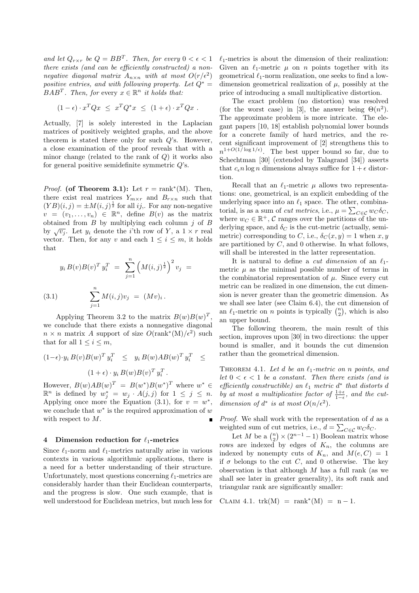and let  $Q_{r \times r}$  be  $Q = BB^T$ . Then, for every  $0 < \epsilon < 1$ there exists (and can be efficiently constructed) a nonnegative diagonal matrix  $A_{n\times n}$  with at most  $O(r/\epsilon^2)$ positive entries, and with following property. Let  $Q^* =$  $BAB^T$ . Then, for every  $x \in \mathbb{R}^n$  it holds that:

$$
(1 - \epsilon) \cdot x^T Q x \leq x^T Q^* x \leq (1 + \epsilon) \cdot x^T Q x.
$$

Actually, [7] is solely interested in the Laplacian matrices of positively weighted graphs, and the above theorem is stated there only for such Q's. However, a close examination of the proof reveals that with a minor change (related to the rank of  $Q$ ) it works also for general positive semidefinite symmetric  $Q$ 's.

*Proof.* (of Theorem 3.1): Let  $r = \text{rank}^*(M)$ . Then, there exist real matrices  $Y_{m \times r}$  and  $B_{r \times n}$  such that  $(YB)(i, j) = \pm M(i, j)^{\frac{1}{2}}$  for all *ij*,. For any non-negative  $v = (v_1, \ldots, v_n) \in \mathbb{R}^n$ , define  $B(v)$  as the matrix obtained from  $B$  by multiplying each column  $j$  of  $B$ by  $\sqrt{v_i}$ . Let  $y_i$  denote the *i*'th row of Y, a  $1 \times r$  real vector. Then, for any v and each  $1 \leq i \leq m$ , it holds that

(3.1) 
$$
y_i B(v) B(v)^T y_i^T = \sum_{j=1}^n \left( M(i,j)^{\frac{1}{2}} \right)^2 v_j =
$$

$$
\sum_{j=1}^n M(i,j) v_j = (Mv)_i.
$$

Applying Theorem 3.2 to the matrix  $B(w)B(w)^T$ , we conclude that there exists a nonnegative diagonal  $n \times n$  matrix A support of size  $O(\text{rank}^*(M)/\epsilon^2)$  such that for all  $1 \leq i \leq m$ ,

$$
(1 - \epsilon) \cdot y_i B(v) B(w)^T y_i^T \leq y_i B(w) AB(w)^T y_i^T \leq
$$
  

$$
(1 + \epsilon) \cdot y_i B(w) B(v)^T y_i^T.
$$

However,  $B(w)AB(w)^T = B(w^*)B(w^*)^T$  where  $w^* \in$  $\mathbb{R}^n$  is defined by  $w_j^* = w_j \cdot A(j,j)$  for  $1 \leq j \leq n$ . Applying once more the Equation  $(3.1)$ , for  $v = w^*$ , we conclude that  $w^*$  is the required approximation of  $w$ with respect to M.

# 4 Dimension reduction for  $\ell_1$ -metrics

Since  $\ell_1$ -norm and  $\ell_1$ -metrics naturally arise in various contexts in various algorithmic applications, there is a need for a better understanding of their structure. Unfortunately, most questions concerning  $\ell_1$ -metrics are considerably harder than their Euclidean counterparts, and the progress is slow. One such example, that is well understood for Euclidean metrics, but much less for  $\ell_1$ -metrics is about the dimension of their realization: Given an  $\ell_1$ -metric  $\mu$  on n points together with its geometrical  $\ell_1$ -norm realization, one seeks to find a lowdimension geometrical realization of  $\mu$ , possibly at the price of introducing a small multiplicative distortion.

The exact problem (no distortion) was resolved (for the worst case) in [3], the answer being  $\Theta(n^2)$ . The approximate problem is more intricate. The elegant papers [10, 18] establish polynomial lower bounds for a concrete family of hard metrics, and the recent significant improvement of [2] strengthens this to  $n^{1+O(1/\log 1/\epsilon)}$ . The best upper bound so far, due to Schechtman [30] (extended by Talagrand [34]) asserts that  $c_{\epsilon} n \log n$  dimensions always suffice for  $1 + \epsilon$  distortion.

Recall that an  $\ell_1$ -metric  $\mu$  allows two representations: one, geometrical, is an explicit embedding of the underlying space into an  $\ell_1$  space. The other, combinatorial, is as a sum of *cut metrics*, i.e.,  $\mu = \sum_{C \in \mathcal{C}} w_C \delta_C$ , where  $w_C \in \mathbb{R}^+$ , C ranges over the partitions of the underlying space, and  $\delta_C$  is the cut-metric (actually, semimetric) corresponding to C, i.e.,  $\delta_C(x, y) = 1$  when x, y are partitioned by  $C$ , and 0 otherwise. In what follows, will shall be interested in the latter representation.

It is natural to define a *cut dimension* of an  $\ell_1$ metric  $\mu$  as the minimal possible number of terms in the combinatorial representation of  $\mu$ . Since every cut metric can be realized in one dimension, the cut dimension is never greater than the geometric dimension. As we shall see later (see Claim 6.4), the cut dimension of an  $\ell_1$ -metric on n points is typically  $\binom{n}{2}$ , which is also an upper bound.

The following theorem, the main result of this section, improves upon [30] in two directions: the upper bound is smaller, and it bounds the cut dimension rather than the geometrical dimension.

THEOREM 4.1. Let d be an  $\ell_1$ -metric on n points, and let  $0 < \epsilon < 1$  be a constant. Then there exists (and is efficiently constructible) an  $\ell_1$  metric  $d^*$  that distorts  $d$ by at most a multiplicative factor of  $\frac{1+\epsilon}{1-\epsilon}$ , and the cutdimension of  $d^*$  is at most  $O(n/\epsilon^2)$ .

*Proof.* We shall work with the representation of  $d$  as a weighted sum of cut metrics, i.e.,  $d = \sum_{C \in \mathcal{C}} w_C \delta_C$ .

Let M be a  $\binom{n}{2} \times (2^{n-1} - 1)$  Boolean matrix whose rows are indexed by edges of  $K_n$ , the columns are indexed by nonempty cuts of  $K_n$ , and  $M(e, C) = 1$ if  $\sigma$  belongs to the cut C, and 0 otherwise. The key observation is that although  $M$  has a full rank (as we shall see later in greater generality), its soft rank and triangular rank are significantly smaller:

$$
CLAIM 4.1. trk(M) = rank^*(M) = n - 1.
$$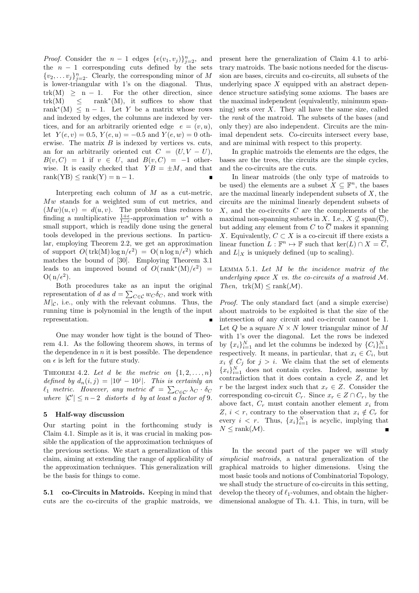*Proof.* Consider the  $n-1$  edges  $\{e(v_1, v_j)\}_{j=2}^n$ , and the  $n - 1$  corresponding cuts defined by the sets  $\{v_2, \ldots v_j\}_{j=2}^n$ . Clearly, the corresponding minor of M is lower-triangular with 1's on the diagonal. Thus,  $trk(M) \geq n - 1$ . For the other direction, since  $trk(M) \leq$ rank<sup>\*</sup>(M), it suffices to show that rank<sup>\*</sup>(M)  $\leq$  n – 1. Let Y be a matrix whose rows and indexed by edges, the columns are indexed by vertices, and for an arbitrarily oriented edge  $e = (v, u)$ , let  $Y(e, v) = 0.5, Y(e, u) = -0.5$  and  $Y(e, w) = 0$  otherwise. The matrix  $B$  is indexed by vertices vs. cuts, an for an arbitrarily oriented cut  $C = (U, V - U)$ ,  $B(v, C) = 1$  if  $v \in U$ , and  $B(v, C) = -1$  otherwise. It is easily checked that  $YB = \pm M$ , and that  $rank(YB) \leq rank(Y) = n - 1.$ 

Interpreting each column of M as a cut-metric, Mw stands for a weighted sum of cut metrics, and  $(Mw)(u, v) = d(u, v)$ . The problem thus reduces to finding a multiplicative  $\frac{1+\epsilon}{1-\epsilon}$ -approximation w<sup>\*</sup> with a small support, which is readily done using the general tools developed in the previous sections. In particular, employing Theorem 2.2, we get an approximation of support  $O(\text{trk}(M) \log n/\epsilon^2) = O(n \log n/\epsilon^2)$  which matches the bound of [30]. Employing Theorem 3.1 leads to an improved bound of  $O(\text{rank}^*(M)/\epsilon^2)$  =  $O(n/\epsilon^2)$ .

Both procedures take as an input the original representation of d as  $d = \sum_{C \in \mathcal{C}} w_C \delta_C$ , and work with  $M|\mathcal{C}$ , i.e., only with the relevant columns. Thus, the running time is polynomial in the length of the input representation.

One may wonder how tight is the bound of Theorem 4.1. As the following theorem shows, in terms of the dependence in  $n$  it is best possible. The dependence on  $\epsilon$  is left for the future study.

THEOREM 4.2. Let d be the metric on  $\{1, 2, \ldots, n\}$ defined by  $d_n(i, j) = |10^i - 10^j|$ . This is certainly an  $\ell_1$  metric. However, any metric  $d' = \sum_{C \in \mathcal{C}'} \lambda_C \cdot \delta_C$ where  $|C'| \leq n-2$  distorts d by at least a factor of 9.

# 5 Half-way discussion

Our starting point in the forthcoming study is Claim 4.1. Simple as it is, it was crucial in making possible the application of the approximation techniques of the previous sections. We start a generalization of this claim, aiming at extending the range of applicability of the approximation techniques. This generalization will be the basis for things to come.

5.1 co-Circuits in Matroids. Keeping in mind that cuts are the co-circuits of the graphic matroids, we present here the generalization of Claim 4.1 to arbitrary matroids. The basic notions needed for the discussion are bases, circuits and co-circuits, all subsets of the underlying space  $X$  equipped with an abstract dependence structure satisfying some axioms. The bases are the maximal independent (equivalently, minimum spanning) sets over  $X$ . They all have the same size, called the rank of the matroid. The subsets of the bases (and only they) are also independent. Circuits are the minimal dependent sets. Co-circuits intersect every base, and are minimal with respect to this property.

In graphic matroids the elements are the edges, the bases are the trees, the circuits are the simple cycles, and the co-circuits are the cuts.

In linear matroids (the only type of matroids to be used) the elements are a subset  $X \subseteq \mathbb{F}^n$ , the bases are the maximal linearly independent subsets of  $X$ , the circuits are the minimal linearly dependent subsets of  $X$ , and the co-circuits  $C$  are the complements of the maximal non-spanning subsets in X. I.e.,  $X \nsubseteq \text{span}(\overline{C}),$ but adding any element from C to  $\overline{C}$  makes it spanning X. Equivalently,  $C \subset X$  is a co-circuit iff there exists a linear function  $L : \mathbb{F}^n \to \mathbb{F}$  such that  $\ker(L) \cap X = \overline{C}$ , and  $L|_X$  is uniquely defined (up to scaling).

Lemma 5.1. Let M be the incidence matrix of the underlying space  $X$  vs. the co-circuits of a matroid  $M$ . Then,  $trk(M) \leq rank(\mathcal{M}).$ 

Proof. The only standard fact (and a simple exercise) about matroids to be exploited is that the size of the intersection of any circuit and co-circuit cannot be 1. Let Q be a square  $N \times N$  lower triangular minor of M with 1's over the diagonal. Let the rows be indexed by  ${x_i}_{i=1}^N$  and let the columns be indexed by  ${C_i}_{i=1}^N$ respectively. It means, in particular, that  $x_i \in C_i$ , but  $x_i \notin C_j$  for  $j > i$ . We claim that the set of elements  ${x_i}_{i=1}^N$  does not contain cycles. Indeed, assume by contradiction that it does contain a cycle Z, and let r be the largest index such that  $x_r \in Z$ . Consider the corresponding co-circuit  $C_r$ . Since  $x_r \in Z \cap C_r$ , by the above fact,  $C_r$  must contain another element  $x_i$  from Z,  $i < r$ , contrary to the observation that  $x_i \notin C_r$  for every  $i \leq r$ . Thus,  $\{x_i\}_{i=1}^N$  is acyclic, implying that  $N \leq \text{rank}(\mathcal{M}).$ 

In the second part of the paper we will study simplicial matroids, a natural generalization of the graphical matroids to higher dimensions. Using the most basic tools and notions of Combinatorial Topology, we shall study the structure of co-circuits in this setting, develop the theory of  $\ell_1$ -volumes, and obtain the higherdimensional analogue of Th. 4.1. This, in turn, will be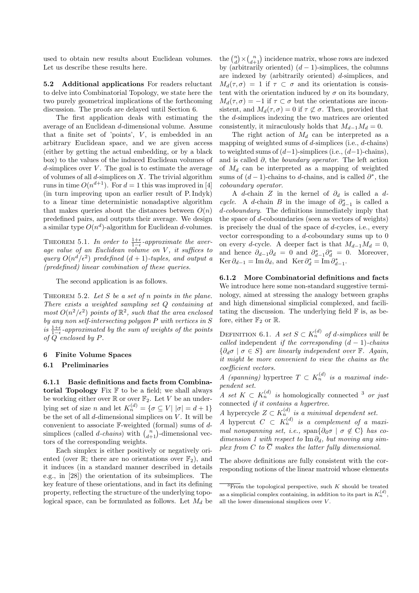used to obtain new results about Euclidean volumes. Let us describe these results here.

5.2 Additional applications For readers reluctant to delve into Combinatorial Topology, we state here the two purely geometrical implications of the forthcoming discussion. The proofs are delayed until Section 6.

The first application deals with estimating the average of an Euclidean d-dimensional volume. Assume that a finite set of 'points',  $V$ , is embedded in an arbitrary Euclidean space, and we are given access (either by getting the actual embedding, or by a black box) to the values of the induced Euclidean volumes of d-simplices over  $V$ . The goal is to estimate the average of volumes of all  $d$ -simplices on  $X$ . The trivial algorithm runs in time  $O(n^{d+1})$ . For  $d = 1$  this was improved in [4] (in turn improving upon an earlier result of P. Indyk) to a linear time deterministic nonadaptive algorithm that makes queries about the distances between  $O(n)$ predefined pairs, and outputs their average. We design a similar type  $O(n^d)$ -algorithm for Euclidean d-volumes.

THEOREM 5.1. In order to  $\frac{1+\epsilon}{1-\epsilon}$ -approximate the average value of an Euclidean volume on V, it suffices to query  $O(n^d/\epsilon^2)$  predefined  $(d+1)$ -tuples, and output a (predefined) linear combination of these queries.

The second application is as follows.

THEOREM 5.2. Let  $S$  be a set of  $n$  points in the plane. There exists a weighted sampling set Q containing at most  $O(n^2/\epsilon^2)$  points of  $\mathbb{R}^2$ , such that the area enclosed by any non self-intersecting polygon P with vertices in S is  $\frac{1+\epsilon}{1-\epsilon}$ -approximated by the sum of weights of the points of Q enclosed by P.

#### 6 Finite Volume Spaces

#### 6.1 Preliminaries

6.1.1 Basic definitions and facts from Combinatorial Topology Fix  $F$  to be a field; we shall always be working either over  $\mathbb{R}$  or over  $\mathbb{F}_2$ . Let V be an underlying set of size *n* and let  $K_n^{(d)} = \{ \sigma \subseteq V | |\sigma| = d + 1 \}$ be the set of all  $d$ -dimensional simplices on  $V$ . It will be convenient to associate  $\mathbb F$ -weighted (formal) sums of  $d$ simplices (called *d*-chains) with  $\binom{n}{d+1}$ -dimensional vectors of the corresponding weights.

Each simplex is either positively or negatively oriented (over  $\mathbb{R}$ ; there are no orientations over  $\mathbb{F}_2$ ), and it induces (in a standard manner described in details e.g., in [28]) the orientation of its subsimplices. The key feature of these orientations, and in fact its defining property, reflecting the structure of the underlying topological space, can be formulated as follows. Let  $M_d$  be

the  $\binom{n}{d}$  ×  $\binom{n}{d+1}$  incidence matrix, whose rows are indexed by (arbitrarily oriented)  $(d-1)$ -simplices, the columns are indexed by (arbitrarily oriented) d-simplices, and  $M_d(\tau,\sigma) = 1$  if  $\tau \subset \sigma$  and its orientation is consistent with the orientation induced by  $\sigma$  on its boundary,  $M_d(\tau, \sigma) = -1$  if  $\tau \subset \sigma$  but the orientations are inconsistent, and  $M_d(\tau, \sigma) = 0$  if  $\tau \not\subset \sigma$ . Then, provided that the d-simplices indexing the two matrices are oriented consistently, it miraculously holds that  $M_{d-1}M_d = 0$ .

The right action of  $M_d$  can be interpreted as a mapping of weighted sums of d-simplices (i.e., d-chains) to weighted sums of  $(d-1)$ -simplices (i.e.,  $(d-1)$ -chains), and is called  $\partial$ , the *boundary operator*. The left action of  $M_d$  can be interpreted as a mapping of weighted sums of  $(d-1)$ -chains to d-chains, and is called  $\partial^*$ , the coboundary operator.

A d-chain Z in the kernel of  $\partial_d$  is called a dcycle. A d-chain B in the image of  $\partial_{d-1}^*$  is called a d-coboundary. The definitions immediately imply that the space of d-coboundaries (seen as vectors of weights) is precisely the dual of the space of d-cycles, i.e., every vector corresponding to a  $d$ -coboundary sums up to  $0$ on every d-cycle. A deeper fact is that  $M_{d-1}M_d = 0$ , and hence  $\partial_{d-1}\partial_d = 0$  and  $\partial_{d-1}^* \partial_d^* = 0$ . Moreover, Ker  $\partial_{d-1} = \text{Im} \, \partial_d$ , and Ker  $\partial_d^* = \text{Im} \, \partial_{d-1}^*$ .

6.1.2 More Combinatorial definitions and facts We introduce here some non-standard suggestive terminology, aimed at stressing the analogy between graphs and high dimensional simplicial complexed, and facilitating the discussion. The underlying field  $\mathbb F$  is, as before, either  $\mathbb{F}_2$  or  $\mathbb{R}$ .

DEFINITION 6.1. A set  $S \subset K_n^{(d)}$  of d-simplices will be called independent if the corresponding  $(d-1)$ -chains  $\{\partial_d \sigma \mid \sigma \in S\}$  are linearly independent over F. Again, it might be more convenient to view the chains as the coefficient vectors.

A (spanning) hypertree  $T \subset K_n^{(d)}$  is a maximal independent set.

A set  $K \subset K_n^{(d)}$  is homologically connected <sup>3</sup> or just connected if it contains a hypertree.

A hypercycle  $Z \subset K_n^{(d)}$  is a minimal dependent set.

A hypercut  $C \subset K_n^{(d)}$  is a complement of a maximal nonspanning set, i.e., span $\{\partial_d \sigma \mid \sigma \notin C\}$  has codimension 1 with respect to Im  $\partial_d$ , but moving any simplex from C to  $\overline{C}$  makes the latter fully dimensional.

The above definitions are fully consistent with the corresponding notions of the linear matroid whose elements

 $\sqrt[3]{3}$ From the topological perspective, such K should be treated as a simplicial complex containing, in addition to its part in  $K_n^{(d)}$ , all the lower dimensional simplices over  $V$ .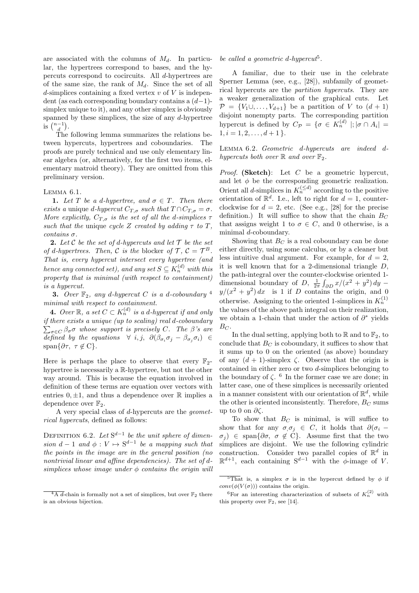are associated with the columns of  $M_d$ . In particular, the hypertrees correspond to bases, and the hypercuts correspond to cocircuits. All d-hypertrees are of the same size, the rank of  $M_d$ . Since the set of all d-simplices containing a fixed vertex  $v$  of  $V$  is independent (as each corresponding boundary contains a  $(d-1)$ simplex unique to it), and any other simplex is obviously spanned by these simplices, the size of any  $d$ -hypertree is  $\binom{n-1}{d}$ .

The following lemma summarizes the relations between hypercuts, hypertrees and coboundaries. The proofs are purely technical and use only elementary linear algebra (or, alternatively, for the first two items, elementary matroid theory). They are omitted from this preliminary version.

# Lemma 6.1.

1. Let T be a d-hypertree, and  $\sigma \in T$ . Then there exists a unique d-hypercut  $C_{T,\sigma}$  such that  $T \cap C_{T,\sigma} = \sigma$ . More explicitly,  $C_{T,\sigma}$  is the set of all the d-simplices  $\tau$ such that the unique cycle Z created by adding  $\tau$  to T, contains σ.

**2.** Let C be the set of d-hypercuts and let  $\mathcal T$  be the set of d-hypertrees. Then, C is the blocker of  $\mathcal{T}, \mathcal{C} = \mathcal{T}^B$ . That is, every hypercut intersect every hypertree (and hence any connected set), and any set  $S\subseteq K_n^{(d)}$  with this property that is minimal (with respect to containment) is a hypercut.

**3.** Over  $\mathbb{F}_2$ , any d-hypercut C is a d-coboundary <sup>4</sup> minimal with respect to containment.

**4.** Over  $\mathbb{R}$ , a set  $C \subset K_n^{(d)}$  is a d-hypercut if and only if there exists a unique (up to scaling) real d-coboundary  $\sum_{\sigma\in C}\beta_{\sigma}\sigma$  whose support is precisely C. The  $\beta$ 's are defined by the equations  $\forall i, j, \ \partial(\beta_{\sigma_i}\sigma_j - \beta_{\sigma_j}\sigma_i) \in$ span $\{\partial \tau, \tau \notin C\}.$ 

Here is perhaps the place to observe that every  $\mathbb{F}_2$ hypertree is necessarily a R-hypertree, but not the other way around. This is because the equation involved in definition of these terms are equation over vectors with entries  $0, \pm 1$ , and thus a dependence over  $\mathbb R$  implies a dependence over  $\mathbb{F}_2$ .

A very special class of d-hypercuts are the geometrical hypercuts, defined as follows:

DEFINITION 6.2. Let  $S^{d-1}$  be the unit sphere of dimension  $d-1$  and  $\phi: V \mapsto S^{d-1}$  be a mapping such that the points in the image are in the general position (no nontrivial linear and affine dependencies). The set of dsimplices whose image under  $\phi$  contains the origin will

# be called a geometric d-hypercut<sup>5</sup>.

A familiar, due to their use in the celebrate Sperner Lemma (see, e.g., [28]), subfamily of geometrical hypercuts are the partition hypercuts. They are a weaker generalization of the graphical cuts. Let  $\mathcal{P} = \{V_1 \cup \ldots, V_{d+1}\}\$ be a partition of V to  $(d+1)$ disjoint nonempty parts. The corresponding partition hypercut is defined by  $C_{\mathcal{P}} = \{ \sigma \in K_n^{(d)} \mid; |\sigma \cap A_i| =$  $1, i = 1, 2, \ldots, d + 1$ .

Lemma 6.2. Geometric d-hypercuts are indeed dhypercuts both over  $\mathbb{R}$  and over  $\mathbb{F}_2$ .

*Proof.* (Sketch): Let  $C$  be a geometric hypercut, and let  $\phi$  be the corresponding geometric realization. Orient all d-simplices in  $K_n^{(\leq d)}$  according to the positive orientation of  $\mathbb{R}^d$ . I.e., left to right for  $d=1$ , counterclockwise for  $d = 2$ , etc. (See e.g., [28] for the precise definition.) It will suffice to show that the chain  $B_C$ that assigns weight 1 to  $\sigma \in C$ , and 0 otherwise, is a minimal d-coboundary.

Showing that  $B<sub>C</sub>$  is a real coboundary can be done either directly, using some calculus, or by a cleaner but less intuitive dual argument. For example, for  $d = 2$ , it is well known that for a 2-dimensional triangle D, the path-integral over the counter-clockwise oriented 1 dimensional boundary of D,  $\frac{1}{2\pi} \int_{\partial D} x/(x^2 + y^2) dy$  –  $y/(x^2 + y^2) dx$  is 1 if D contains the origin, and 0 otherwise. Assigning to the oriented 1-simplices in  $K_n^{(1)}$ the values of the above path integral on their realization, we obtain a 1-chain that under the action of  $\partial^*$  yields  $B_C$ .

In the dual setting, applying both to  $\mathbb R$  and to  $\mathbb F_2$ , to conclude that  $B<sub>C</sub>$  is coboundary, it suffices to show that it sums up to 0 on the oriented (as above) boundary of any  $(d + 1)$ -simplex  $\zeta$ . Observe that the origin is contained in either zero or two d-simplices belonging to the boundary of  $\zeta$ . <sup>6</sup> In the former case we are done; in latter case, one of these simplices is necessarily oriented in a manner consistent with our orientation of  $\mathbb{R}^d$ , while the other is oriented inconsistently. Therefore,  $B_C$  sums up to 0 on  $\partial \zeta$ .

To show that  $B<sub>C</sub>$  is minimal, is will suffice to show that for any  $\sigma_i \sigma_j \in C$ , it holds that  $\partial(\sigma_i \sigma_i$ ) ∈ span $\{\partial \sigma, \sigma \notin \check{C}\}\$ . Assume first that the two simplices are disjoint. We use the following cylindric construction. Consider two parallel copies of  $\mathbb{R}^d$  in  $\mathbb{R}^{d+1}$ , each containing  $S^{d-1}$  with the  $\phi$ -image of V.

 $\overline{^{4}A\,d}$ -chain is formally not a set of simplices, but over  $\mathbb{F}_2$  there is an obvious bijection.

 $\sqrt[5]{\text{That}}$  is, a simplex  $\sigma$  is in the hypercut defined by  $\phi$  if  $conv(\phi(V(\sigma)))$  contains the origin.

<sup>&</sup>lt;sup>6</sup>For an interesting characterization of subsets of  $K_n^{(2)}$  with this property over  $\mathbb{F}_2$ , see [14].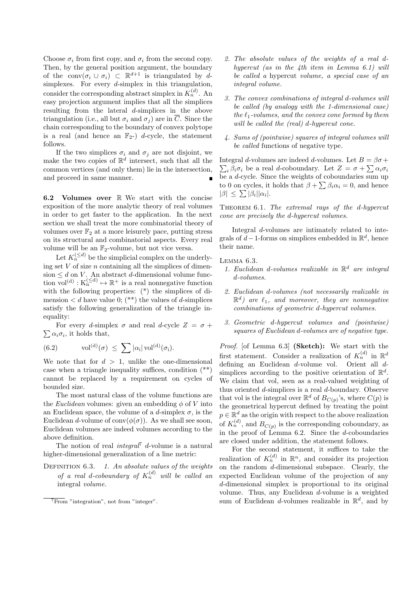Choose  $\sigma_i$  from first copy, and  $\sigma_i$  from the second copy. Then, by the general position argument, the boundary of the conv $(\sigma_i \cup \sigma_i) \subset \mathbb{R}^{d+1}$  is triangulated by dsimplexes. For every  $d$ -simplex in this triangulation, consider the corresponding abstract simplex in  $K_n^{(d)}$ . An easy projection argument implies that all the simplices resulting from the lateral d-simplices in the above triangulation (i.e., all but  $\sigma_i$  and  $\sigma_j$ ) are in  $\overline{C}$ . Since the chain corresponding to the boundary of convex polytope is a real (and hence an  $\mathbb{F}_{2}$ -) *d*-cycle, the statement follows.

If the two simplices  $\sigma_i$  and  $\sigma_j$  are not disjoint, we make the two copies of  $\mathbb{R}^d$  intersect, such that all the common vertices (and only them) lie in the intersection, and proceed in same manner.

6.2 Volumes over  $\mathbb R$  We start with the concise exposition of the more analytic theory of real volumes in order to get faster to the application. In the next section we shall treat the more combinatorial theory of volumes over  $\mathbb{F}_2$  at a more leisurely pace, putting stress on its structural and combinatorial aspects. Every real volume will be an  $\mathbb{F}_2$ -volume, but not vice versa.

Let  $K_n^{(\leq d)}$  be the simplicial complex on the underlying set  $V$  of size  $n$  containing all the simplices of dimension  $\leq d$  on V. An abstract d-dimensional volume function  $\text{vol}^{(d)} : K_n^{(\leq d)} \mapsto \mathbb{R}^+$  is a real nonnegative function with the following properties: (\*) the simplices of dimension  $\langle d \rangle$  have value 0; (\*\*) the values of d-simplices satisfy the following generalization of the triangle inequality:

 $\sum \alpha_i \sigma_i$ , it holds that, For every d-simplex  $\sigma$  and real d-cycle  $Z = \sigma +$ 

(6.2) 
$$
\text{vol}^{(d)}(\sigma) \leq \sum |\alpha_i| \text{vol}^{(d)}(\sigma_i).
$$

We note that for  $d > 1$ , unlike the one-dimensional case when a triangle inequality suffices, condition (\*\*) cannot be replaced by a requirement on cycles of bounded size.

The most natural class of the volume functions are the *Euclidean* volumes: given an embedding  $\phi$  of V into an Euclidean space, the volume of a d-simplex  $\sigma$ , is the Euclidean d-volume of conv $(\phi(\sigma))$ . As we shall see soon, Euclidean volumes are indeed volumes according to the above definition.

The notion of real *integral*<sup>7</sup> d-volume is a natural higher-dimensional generalization of a line metric:

DEFINITION  $6.3.$  1. An absolute values of the weights of a real d-coboundary of  $K_n^{(d)}$  will be called an integral volume.

- 2. The absolute values of the weights of a real dhypercut (as in the 4th item in Lemma 6.1) will be called a hypercut volume, a special case of an integral volume.
- 3. The convex combinations of integral d-volumes will be called (by analogy with the 1-dimensional case) the  $\ell_1$ -volumes, and the convex cone formed by them will be called the (real) d-hypercut cone.
- 4. Sums of (pointwise) squares of integral volumes will be called functions of negative type.

Integral d-volumes are indeed d-volumes. Let  $B = \beta \sigma +$  $\sum_i \beta_i \sigma_i$  be a real *d*-coboundary. Let  $Z = \sigma + \sum \alpha_i \sigma_i$ be a d-cycle. Since the weights of coboundaries sum up to 0 on cycles, it holds that  $\beta + \sum \beta_i \alpha_i = 0$ , and hence  $|\beta| \leq \sum |\beta_i| |\alpha_i|.$ 

THEOREM 6.1. The extremal rays of the d-hypercut cone are precisely the d-hypercut volumes.

Integral d-volumes are intimately related to integrals of  $d-1$ -forms on simplices embedded in  $\mathbb{R}^d$ , hence their name.

#### Lemma 6.3.

- 1. Euclidean d-volumes realizable in  $\mathbb{R}^d$  are integral d-volumes.
- 2. Euclidean d-volumes (not necessarily realizable in  $\mathbb{R}^d$ ) are  $\ell_1$ , and moreover, they are nonnegative combinations of geometric d-hypercut volumes.
- 3. Geometric d-hypercut volumes and (pointwise) squares of Euclidean d-volumes are of negative type.

Proof. [of Lemma 6.3] (Sketch): We start with the first statement. Consider a realization of  $K_n^{(d)}$  in  $\mathbb{R}^d$ defining an Euclidean d-volume vol. Orient all dsimplices according to the positive orientation of  $\mathbb{R}^d$ . We claim that vol, seen as a real-valued weighting of thus oriented d-simplices is a real d-boundary. Observe that vol is the integral over  $\mathbb{R}^d$  of  $B_{C(p)}$ 's, where  $C(p)$  is the geometrical hypercut defined by treating the point  $p \in \mathbb{R}^d$  as the origin with respect to the above realization of  $K_n^{(d)}$ , and  $B_{C(p)}$  is the corresponding coboundary, as in the proof of Lemma 6.2. Since the d-coboundaries are closed under addition, the statement follows.

For the second statement, it suffices to take the realization of  $K_n^{(d)}$  in  $\mathbb{R}^n$ , and consider its projection on the random d-dimensional subspace. Clearly, the expected Euclidean volume of the projection of any d-dimensional simplex is proportional to its original volume. Thus, any Euclidean d-volume is a weighted sum of Euclidean d-volumes realizable in  $\mathbb{R}^d$ , and by

 $7From$  "integration", not from "integer".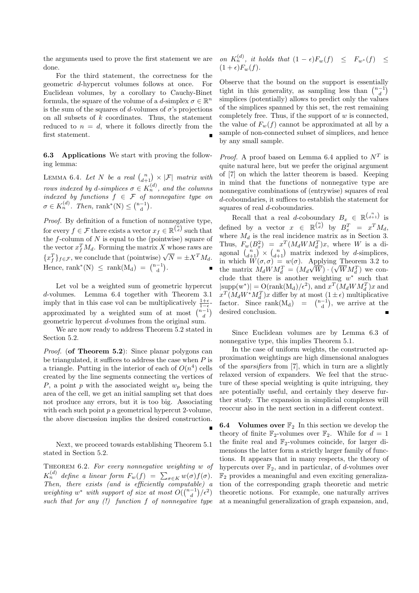the arguments used to prove the first statement we are done.

For the third statement, the correctness for the geometric d-hypercut volumes follows at once. For Euclidean volumes, by a corollary to Cauchy-Binet formula, the square of the volume of a d-simplex  $\sigma \in \mathbb{R}^n$ is the sum of the squares of d-volumes of  $\sigma$ 's projections on all subsets of  $k$  coordinates. Thus, the statement reduced to  $n = d$ , where it follows directly from the first statement.

6.3 Applications We start with proving the following lemma:

LEMMA 6.4. Let N be a real  $\binom{n}{d+1} \times |\mathcal{F}|$  matrix with rows indexed by d-simplices  $\sigma \in K_n^{(d)}$ , and the columns indexed by functions  $f \in \mathcal{F}$  of nonnegative type on  $\sigma \in K_n^{(d)}$ . Then, rank\*(N)  $\leq {\binom{n-1}{d}}$ .

Proof. By definition of a function of nonnegative type, for every  $f \in \mathcal{F}$  there exists a vector  $x_f \in \mathbb{R}^{\binom{n}{d}}$  such that the  $f$ -column of  $N$  is equal to the (pointwise) square of the vector  $x_f^T M_d$ . Forming the matrix X whose raws are the vector  $x_f$   $M_d$ . Forming the matrix  $X$  whose raws are  $\{x_f^T\}_{f \in \mathcal{F}}$ , we conclude that (pointwise)  $\sqrt{N} = \pm X^T M_d$ . Hence, rank<sup>\*</sup>(N)  $\leq$  rank(M<sub>d</sub>) =  $\binom{n-1}{d}$ .

Let vol be a weighted sum of geometric hypercut d-volumes. Lemma 6.4 together with Theorem 3.1 imply that in this case vol can be multiplicatively  $\frac{1+\epsilon}{1-\epsilon}$ approximated by a weighted sum of at most  $\binom{n-1}{d}$ geometric hypercut d-volumes from the original sum.

We are now ready to address Theorem 5.2 stated in Section 5.2.

*Proof.* (of Theorem 5.2): Since planar polygons can be triangulated, it suffices to address the case when  $P$  is a triangle. Putting in the interior of each of  $O(n^4)$  cells created by the line segments connecting the vertices of P, a point p with the associated weight  $w_p$  being the area of the cell, we get an initial sampling set that does not produce any errors, but it is too big. Associating with each such point  $p$  a geometrical hypercut 2-volume, the above discussion implies the desired construction.

Next, we proceed towards establishing Theorem 5.1 stated in Section 5.2.

THEOREM  $6.2$ . For every nonnegative weighting w of  $K_n^{(d)}$  define a linear form  $F_w(f) = \sum_{\sigma \in K} w(\sigma) f(\sigma)$ . Then, there exists (and is efficiently computable) a weighting  $w^*$  with support of size at most  $O({\binom{n-1}{d}}/{\epsilon^2})$ such that for any  $(!)$  function f of nonnegative type

on 
$$
K_n^{(d)}
$$
, it holds that  $(1 - \epsilon)F_w(f) \leq F_{w^*}(f) \leq (1 + \epsilon)F_w(f)$ .

Observe that the bound on the support is essentially tight in this generality, as sampling less than  $\binom{n-1}{d}$ simplices (potentially) allows to predict only the values of the simplices spanned by this set, the rest remaining completely free. Thus, if the support of  $w$  is connected, the value of  $F_w(f)$  cannot be approximated at all by a sample of non-connected subset of simplices, and hence by any small sample.

*Proof.* A proof based on Lemma 6.4 applied to  $N^T$  is quite natural here, but we prefer the original argument of [7] on which the latter theorem is based. Keeping in mind that the functions of nonnegative type are nonnegative combinations of (entrywise) squares of real d-coboundaries, it suffices to establish the statement for squares of real *d*-coboundaries.

Recall that a real d-coboundary  $B_x \in \mathbb{R}^{\binom{n}{d+1}}$  is defined by a vector  $x \in \mathbb{R}^{n \choose d}$  by  $B_x^T = x^T M_d$ , where  $M_d$  is the real incidence matrix as in Section 3. Thus,  $F_w(B_x^2) = x^T(M_d W M_d^T)x$ , where W is a diagonal  $\binom{n}{d+1} \times \binom{n}{d+1}$  matrix indexed by d-simplices, in which  $W(\sigma, \sigma) = w(\sigma)$ . Applying Theorem 3.2 to the matrix  $M_d W M_d^T = (M_d$ √  $W) \cdot ($ g Theorem 3.2 to<br> $\sqrt{W}M_d^T$ ) we conclude that there is another weighting  $w^*$  such that  $|\text{supp}(w^*)| = O(\text{rank}(M_d)/\epsilon^2), \text{ and } x^T(M_dWM_d^T)x$  and  $x^T(M_dW^*M_d^T)x$  differ by at most  $(1 \pm \epsilon)$  multiplicative factor. Since  $rank(M_d) = {n-1 \choose d}$ , we arrive at the desired conclusion.

Since Euclidean volumes are by Lemma 6.3 of nonnegative type, this implies Theorem 5.1.

In the case of uniform weights, the constructed approximation weightings are high dimensional analogues of the sparsifiers from [7], which in turn are a slightly relaxed version of expanders. We feel that the structure of these special weighting is quite intriguing, they are potentially useful, and certainly they deserve further study. The expansion in simplicial complexes will reoccur also in the next section in a different context.

**6.4** Volumes over  $\mathbb{F}_2$  In this section we develop the theory of finite  $\mathbb{F}_2$ -volumes over  $\mathbb{F}_2$ . While for  $d = 1$ the finite real and  $\mathbb{F}_2$ -volumes coincide, for larger dimensions the latter form a strictly larger family of functions. It appears that in many respects, the theory of hypercuts over  $\mathbb{F}_2$ , and in particular, of *d*-volumes over  $\mathbb{F}_2$  provides a meaningful and even exciting generalization of the corresponding graph theoretic and metric theoretic notions. For example, one naturally arrives at a meaningful generalization of graph expansion, and,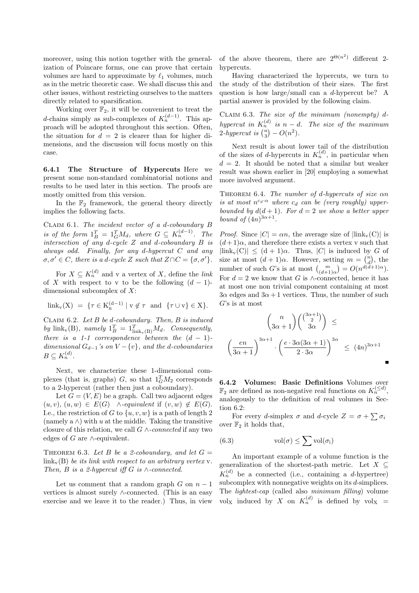moreover, using this notion together with the generalization of Poincare forms, one can prove that certain volumes are hard to approximate by  $\ell_1$  volumes, much as in the metric theoretic case. We shall discuss this and other issues, without restricting ourselves to the matters directly related to sparsification.

Working over  $\mathbb{F}_2$ , it will be convenient to treat the d-chains simply as sub-complexes of  $K_n^{(d-1)}$ . This approach will be adopted throughout this section. Often, the situation for  $d = 2$  is clearer than for higher dimensions, and the discussion will focus mostly on this case.

6.4.1 The Structure of Hypercuts Here we present some non-standard combinatorial notions and results to be used later in this section. The proofs are mostly omitted from this version.

In the  $\mathbb{F}_2$  framework, the general theory directly implies the following facts.

CLAIM 6.1. The incident vector of a d-coboundary  $B$ is of the form  $1_B^T = 1_G^T M_d$ , where  $G \subseteq K_n^{(d-1)}$ . The intersection of any d-cycle Z and d-coboundary B is always odd. Finally, for any d-hypercut C and any  $\sigma, \sigma' \in C$ , there is a d-cycle Z such that  $Z \cap C = {\sigma, \sigma'}$ .

For  $X \subseteq K_n^{(d)}$  and v a vertex of X, define the *link* of X with respect to v to be the following  $(d-1)$ dimensional subcomplex of  $X$ :

$$
link_v(X) = \{ \tau \in K_n^{(d-1)} \mid v \notin \tau \text{ and } \{ \tau \cup v \} \in X \}.
$$

CLAIM  $6.2.$  Let B be d-coboundary. Then, B is induced by  $\text{link}_{\mathbf{v}}(\mathbf{B})$ , namely  $\mathbf{1}_B^T = \mathbf{1}_{\text{link}_{\mathbf{v}}(\mathbf{B})}^T M_d$ . Consequently, there is a 1-1 correspondence between the  $(d - 1)$ dimensional  $G_{d-1}$ 's on  $V - \{v\}$ , and the d-coboundaries  $B\subseteq K_n^{(d)}$ .

Next, we characterize these 1-dimensional complexes (that is, graphs)  $G$ , so that  $1_G^T M_2$  corresponds to a 2-hypercut (rather then just a coboundary).

Let  $G = (V, E)$  be a graph. Call two adjacent edges  $(u, v), (u, w) \in E(G)$   $\wedge$ -equivalent if  $(v, w) \notin E(G)$ . I.e., the restriction of G to  $\{u, v, w\}$  is a path of length 2 (namely a  $\wedge$ ) with u at the middle. Taking the transitive closure of this relation, we call  $G \wedge$ -connected if any two edges of  $G$  are  $\wedge$ -equivalent.

THEOREM 6.3. Let B be a 2-coboundary, and let  $G =$  $\operatorname{link}_{\mathbf{v}}(\mathbf{B})$  be its link with respect to an arbitrary vertex v. Then, B is a 2-hypercut iff G is  $\wedge$ -connected.

Let us comment that a random graph  $G$  on  $n-1$ vertices is almost surely ∧-connected. (This is an easy exercise and we leave it to the reader.) Thus, in view

of the above theorem, there are  $2^{\Theta(n^2)}$  different 2hypercuts.

Having characterized the hypercuts, we turn to the study of the distribution of their sizes. The first question is how large/small can a d-hypercut be? A partial answer is provided by the following claim.

CLAIM 6.3. The size of the minimum (nonempty)  $d$ hypercut in  $K_n^{(d)}$  is  $n-d$ . The size of the maximum 2-hypercut is  $\binom{n}{3} - O(n^2)$ .

Next result is about lower tail of the distribution of the sizes of d-hypercuts in  $K_n^{(d)}$ , in particular when  $d = 2$ . It should be noted that a similar but weaker result was shown earlier in [20] employing a somewhat more involved argument.

THEOREM 6.4. The number of d-hypercuts of size  $\alpha n$ is at most  $n^{c_d \cdot \alpha}$  where  $c_d$  can be (very roughly) upperbounded by  $d(d+1)$ . For  $d=2$  we show a better upper bound of  $(4n)^{3\alpha+1}$ .

*Proof.* Since  $|C| = \alpha n$ , the average size of  $|\text{link}_{v}(C)|$  is  $(d+1)\alpha$ , and therefore there exists a vertex v such that  $|\text{link}_{\text{v}}(C)| \leq (d+1)\alpha$ . Thus, |C| is induced by G of size at most  $(d+1)\alpha$ . However, setting  $m = \binom{n}{d}$ , the number of such G's is at most  $\begin{pmatrix} a+1 \end{pmatrix}$  $d$ ,  $\begin{pmatrix} a \end{pmatrix}$ <br>number of such G's is at most  $\begin{pmatrix} a+1 \end{pmatrix}$  $d$ ) =  $O(n^{d(d+1)\alpha})$ . For  $d = 2$  we know that G is ∧-connected, hence it has at most one non trivial component containing at most  $3\alpha$  edges and  $3\alpha + 1$  vertices. Thus, the number of such G's is at most

$$
\binom{n}{3\alpha+1}\binom{3\alpha+1}{3\alpha} \le \left(\frac{en}{3\alpha+1}\right)^{3\alpha+1} \cdot \left(\frac{e \cdot 3\alpha(3\alpha+1)}{2 \cdot 3\alpha}\right)^{3\alpha} \le (4n)^{3\alpha+1}
$$

6.4.2 Volumes: Basic Definitions Volumes over  $\mathbb{F}_2$  are defined as non-negative real functions on  $K_n^{(\leq d)}$ , analogously to the definition of real volumes in Section 6.2:

For every d-simplex  $\sigma$  and d-cycle  $Z = \sigma + \sum \sigma_i$ over  $\mathbb{F}_2$  it holds that,

(6.3) 
$$
\operatorname{vol}(\sigma) \le \sum \operatorname{vol}(\sigma_i)
$$

An important example of a volume function is the generalization of the shortest-path metric. Let  $X \subseteq$  $K_n^{(d)}$  be a connected (i.e., containing a *d*-hypertree) subcomplex with nonnegative weights on its d-simplices. The lightest-cap (called also minimum filling) volume volx induced by X on  $K_n^{(d)}$  is defined by  $vol_X =$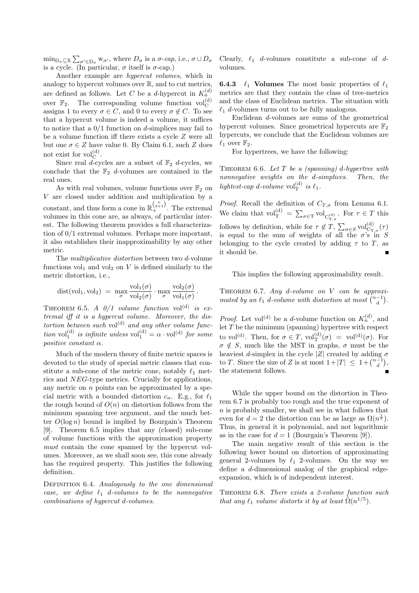$\min_{D_{\sigma} \subseteq X} \sum_{\sigma' \in D_{\sigma}} w_{\sigma'}$ , where  $D_{\sigma}$  is a  $\sigma$ -cap, i.e.,  $\sigma \cup D_{\sigma}$ is a cycle. (In particular,  $\sigma$  itself is  $\sigma$ -cap.)

Another example are hypercut volumes, which in analogy to hypercut volumes over R, and to cut metrics, are defined as follows. Let C be a d-hypercut in  $K_n^{(d)}$ over  $\mathbb{F}_2$ . The corresponding volume function  $\text{vol}_{\mathcal{C}}^{(d)}$ assigns 1 to every  $\sigma \in C$ , and 0 to every  $\sigma \notin C$ . To see that a hypercut volume is indeed a volume, it suffices to notice that a  $0/1$  function on d-simplices may fail to be a volume function iff there exists a cycle Z were all but one  $\sigma \in Z$  have value 0. By Claim 6.1, such Z does not exist for  $\text{vol}_{\mathcal{C}}^{(d)}$ .

Since real  $\tilde{d}$ -cycles are a subset of  $\mathbb{F}_2$  d-cycles, we conclude that the  $\mathbb{F}_2$  d-volumes are contained in the real ones.

As with real volumes, volume functions over  $\mathbb{F}_2$  on V are closed under addition and multiplication by a constant, and thus form a cone in  $\mathbb{R}^{\binom{n}{d+1}}_{+}$ . The extremal volumes in this cone are, as always, of particular interest. The following theorem provides a full characterization of 0/1 extremal volumes. Perhaps more important, it also establishes their inapproximability by any other metric.

The *multiplicative distortion* between two d-volume functions  $vol_1$  and  $vol_2$  on V is defined similarly to the metric distortion, i.e.,

$$
dist(vol_1, vol_2) = \max_{\sigma} \frac{vol_1(\sigma)}{vol_2(\sigma)} \cdot \max_{\sigma} \frac{vol_2(\sigma)}{vol_1(\sigma)}.
$$

THEOREM 6.5. A  $0/1$  volume function vol<sup>(d)</sup> is extremal iff it is a hypercut volume. Moreover, the distortion between such vol<sup>(d)</sup> and any other volume function vol $_1^{(d)}$  is infinite unless vol $_1^{(d)} = \alpha \cdot \text{vol}^{(d)}$  for some positive constant  $\alpha$ .

Much of the modern theory of finite metric spaces is devoted to the study of special metric classes that constitute a sub-cone of the metric cone, notably  $\ell_1$  metrics and NEG-type metrics. Crucially for applications, any metric on  $n$  points can be approximated by a special metric with a bounded distortion  $c_n$ . E.g., for  $\ell_1$ the rough bound of  $O(n)$  on distortion follows from the minimum spanning tree argument, and the much better  $O(\log n)$  bound is implied by Bourgain's Theorem [9]. Theorem 6.5 implies that any (closed) sub-cone of volume functions with the approximation property must contain the cone spanned by the hypercut volumes. Moreover, as we shall soon see, this cone already has the required property. This justifies the following definition.

DEFINITION 6.4. Analogously to the one dimensional case, we define  $\ell_1$  d-volumes to be the nonnegative combinations of hypercut d-volumes.

Clearly,  $\ell_1$  d-volumes constitute a sub-cone of dvolumes.

**6.4.3**  $\ell_1$  Volumes The most basic properties of  $\ell_1$ metrics are that they contain the class of tree-metrics and the class of Euclidean metrics. The situation with  $\ell_1$  d-volumes turns out to be fully analogous.

Euclidean d-volumes are sums of the geometrical hypercut volumes. Since geometrical hypercuts are  $\mathbb{F}_2$ hypercuts, we conclude that the Euclidean volumes are  $\ell_1$  over  $\mathbb{F}_2$ .

For hypertrees, we have the following:

THEOREM 6.6. Let  $T$  be a (spanning) d-hypertree with nonnegative weights on the d-simplices. Then, the lightest-cap d-volume  $vol_T^{(d)}$  is  $\ell_1$ .

*Proof.* Recall the definition of  $C_{T,\sigma}$  from Lemma 6.1. We claim that  $\mathrm{vol}_{\mathrm{T}}^{(d)} = \sum_{\sigma \in \mathrm{T}} \mathrm{vol}_{\mathrm{C}_{\mathrm{T},\sigma}^{(d)}}$ . For  $\tau \in \mathrm{T}$  this follows by definition, while for  $\tau \notin T$ ,  $\sum_{\sigma \in S} \text{vol}^{(d)}_{C_{T,\sigma}}(\tau)$ is equal to the sum of weights of all the  $\sigma$ 's in S belonging to the cycle created by adding  $\tau$  to T, as it should be.

This implies the following approximability result.

THEOREM 6.7. Any d-volume on  $V$  can be approximated by an  $\ell_1$  d-volume with distortion at most  $\binom{n-1}{d}$ .

*Proof.* Let vol<sup>(d)</sup> be a *d*-volume function on  $K_n^{(d)}$ , and let  $T$  be the minimum (spanning) hypertree with respect to vol<sup>(d)</sup>. Then, for  $\sigma \in T$ , vol $_{\rm T}^{(\rm d)}(\sigma) =$  vol<sup>(d)</sup>( $\sigma$ ). For  $\sigma \notin S$ , much like the MST in graphs,  $\sigma$  must be the heaviest d-simplex in the cycle |Z| created by adding  $\sigma$ to T. Since the size of Z is at most  $1+|T| \leq 1 + {n-1 \choose d}$ , the statement follows.

While the upper bound on the distortion in Theorem 6.7 is probably too rough and the true exponent of  $n$  is probably smaller, we shall see in what follows that even for  $d=2$  the distortion can be as large as  $\Omega(n^{\frac{1}{5}})$ . Thus, in general it is polynomial, and not logarithmic as in the case for  $d = 1$  (Bourgain's Theorem [9]).

The main negative result of this section is the following lower bound on distortion of approximating general 2-volumes by  $\ell_1$  2-volumes. On the way we define a d-dimensional analog of the graphical edgeexpansion, which is of independent interest.

THEOREM 6.8. There exists a 2-volume function such that any  $\ell_1$  volume distorts it by at least  $\tilde{\Omega}(n^{1/5})$ .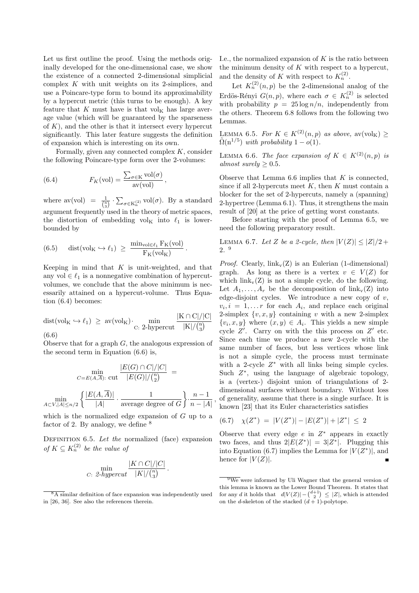Let us first outline the proof. Using the methods originally developed for the one-dimensional case, we show the existence of a connected 2-dimensional simplicial complex  $K$  with unit weights on its 2-simplices, and use a Poincare-type form to bound its approximability by a hypercut metric (this turns to be enough). A key feature that K must have is that  $\mathrm{vol}_{\mathrm{K}}$  has large average value (which will be guaranteed by the sparseness of  $K$ ), and the other is that it intersect every hypercut significantly. This later feature suggests the definition of expansion which is interesting on its own.

Formally, given any connected complex  $K$ , consider the following Poincare-type form over the 2-volumes:

(6.4) 
$$
F_K(\text{vol}) = \frac{\sum_{\sigma \in K} \text{vol}(\sigma)}{\text{av}(\text{vol})},
$$

where  $\text{av}(\text{vol}) = \frac{1}{\binom{n}{3}} \cdot \sum_{\sigma \in K_n^{(2)}} \text{vol}(\sigma)$ . By a standard argument frequently used in the theory of metric spaces, the distortion of embedding  $vol_K$  into  $\ell_1$  is lowerbounded by

(6.5) 
$$
\operatorname{dist}(\operatorname{vol}_{K} \hookrightarrow \ell_1) \ \geq \ \frac{\operatorname{min}_{\operatorname{vol} \in \ell_1} F_K(\operatorname{vol})}{F_K(\operatorname{vol}_K)}.
$$

Keeping in mind that  $K$  is unit-weighted, and that any vol  $\in \ell_1$  is a nonnegative combination of hypercutvolumes, we conclude that the above minimum is necessarily attained on a hypercut-volume. Thus Equation (6.4) becomes:

$$
dist(vol_K \hookrightarrow \ell_1) \ge av(vol_K) \cdot \min_{C: 2-hypercut} \frac{|K \cap C|/|C|}{|K|/\binom{n}{3}}
$$
\n(6.6)

Observe that for a graph  $G$ , the analogous expression of the second term in Equation (6.6) is,

$$
\min_{C=E(A,\overline{A}) : \text{ cut}} \frac{|E(G) \cap C|/|C|}{|E(G)|/{{n \choose 2}}} =
$$
  

$$
\min_{A \subset V, |A| \le n/2} \left\{ \frac{|E(A,\overline{A})|}{|A|} \cdot \frac{1}{\text{average degree of } G} \right\} \cdot \frac{n-1}{n-|A|}
$$

which is the normalized edge expansion of  $G$  up to a factor of 2. By analogy, we define <sup>8</sup>

DEFINITION  $6.5.$  Let the normalized (face) expansion of  $K \subseteq K_n^{(2)}$  be the value of

$$
\min_{C: 2-hypercut} \frac{|K \cap C|/|C|}{|K|/\binom{n}{3}}.
$$

I.e., the normalized expansion of  $K$  is the ratio between the minimum density of  $K$  with respect to a hypercut, and the density of K with respect to  $K_n^{(2)}$ .

Let  $K_n^{(2)}(n,p)$  be the 2-dimensional analog of the Erdös-Rényi  $G(n, p)$ , where each  $\sigma \in K_n^{(2)}$  is selected with probability  $p = 25 \log n/n$ , independently from the others. Theorem 6.8 follows from the following two Lemmas.

LEMMA 6.5. For  $K \in K^{(2)}(n,p)$  as above,  $\text{av}(\text{vol}_K) \geq$  $\tilde{\Omega}(n^{1/5})$  with probability  $1-o(1)$ .

LEMMA 6.6. The face expansion of  $K \in K^{(2)}(n,p)$  is almost surely  $\geq 0.5$ .

Observe that Lemma  $6.6$  implies that  $K$  is connected, since if all 2-hypercuts meet  $K$ , then  $K$  must contain a blocker for the set of 2-hypercuts, namely a (spanning) 2-hypertree (Lemma 6.1). Thus, it strengthens the main result of [20] at the price of getting worst constants.

Before starting with the proof of Lemma 6.5, we need the following preparatory result.

LEMMA 6.7. Let Z be a 2-cycle, then  $|V(Z)| \leq |Z|/2 +$ 2. 9

*Proof.* Clearly,  $link_v(Z)$  is an Eulerian (1-dimensional) graph. As long as there is a vertex  $v \in V(Z)$  for which  $link_v(Z)$  is not a simple cycle, do the following. Let  $A_1, \ldots, A_r$  be the decomposition of link<sub>v</sub>(Z) into edge-disjoint cycles. We introduce a new copy of  $v$ ,  $v_i, i = 1, \dots r$  for each  $A_i$ , and replace each original 2-simplex  $\{v, x, y\}$  containing v with a new 2-simplex  $\{v_i, x, y\}$  where  $(x, y) \in A_i$ . This yields a new simple cycle  $Z'$ . Carry on with the this process on  $Z'$  etc. Since each time we produce a new 2-cycle with the same number of faces, but less vertices whose link is not a simple cycle, the process must terminate with a 2-cycle  $Z^*$  with all links being simple cycles. Such  $Z^*$ , using the language of algebraic topology, is a (vertex-) disjoint union of triangulations of 2 dimensional surfaces without boundary. Without loss of generality, assume that there is a single surface. It is known [23] that its Euler characteristics satisfies

$$
(6.7) \quad \chi(Z^*) \ = \ |V(Z^*)| - |E(Z^*)| + |Z^*| \ \leq \ 2
$$

,

Observe that every edge  $e$  in  $Z^*$  appears in exactly two faces, and thus  $2|E(Z^*)| = 3|Z^*|$ . Plugging this into Equation (6.7) implies the Lemma for  $|V(Z^*)|$ , and hence for  $|V(Z)|$ .  $\blacksquare$ 

 $8\overline{8A}$  similar definition of face expansion was independently used in [26, 36]. See also the references therein.

 $\sqrt[9]{9}$  were informed by Uli Wagner that the general version of this lemma is known as the Lower Bound Theorem. It states that for any d it holds that  $d|V(Z)| - {d+1 \choose 2} \leq |Z|$ , which is attended on the d-skeleton of the stacked  $(d+1)$ -polytope.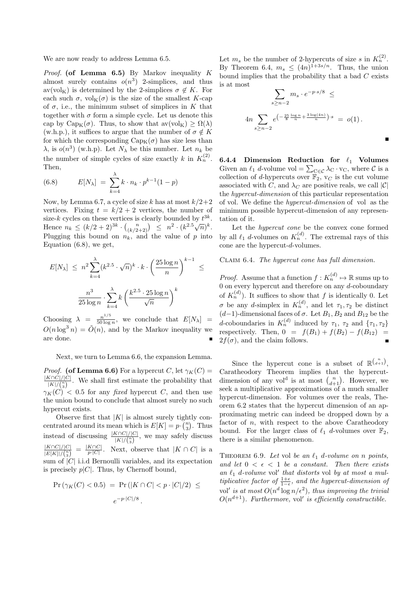We are now ready to address Lemma 6.5.

*Proof.* (of Lemma 6.5) By Markov inequality  $K$ almost surely contains  $o(n^3)$  2-simplices, and thus av(vol<sub>K</sub>) is determined by the 2-simplices  $\sigma \notin K$ . For each such  $\sigma$ , vol<sub>K</sub>( $\sigma$ ) is the size of the smallest K-cap of  $\sigma$ , i.e., the minimum subset of simplices in K that together with  $\sigma$  form a simple cycle. Let us denote this cap by Cap<sub>K</sub>( $\sigma$ ). Thus, to show that av(vol<sub>K</sub>)  $\geq \Omega(\lambda)$ (w.h.p.), it suffices to argue that the number of  $\sigma \notin K$ for which the corresponding  $Cap_K(\sigma)$  has size less than  $\lambda$ , is  $o(n^3)$  (w.h.p). Let  $N_\lambda$  be this number. Let  $n_k$  be the number of simple cycles of size exactly k in  $K_n^{(2)}$ . Then,

(6.8) 
$$
E[N_{\lambda}] = \sum_{k=4}^{\lambda} k \cdot n_k \cdot p^{k-1} (1-p)
$$

Now, by Lemma 6.7, a cycle of size k has at most  $k/2+2$ vertices. Fixing  $t = k/2 + 2$  vertices, the number of size-k cycles on these vertices is clearly bounded by  $t^{3k}$ . Hence  $n_k \le (k/2+2)^{3k} \cdot {k \choose (k/2+2)} \le n^2 \cdot (k^{2.5}\sqrt{n})^k$ . Plugging this bound on  $n_k$ , and the value of p into Equation (6.8), we get,

$$
E[N_{\lambda}] \leq n^2 \sum_{k=4}^{\lambda} (k^{2.5} \cdot \sqrt{n})^k \cdot k \cdot \left(\frac{25 \log n}{n}\right)^{k-1} \leq
$$

$$
\frac{n^3}{25 \log n} \cdot \sum_{k=4}^{\lambda} k \left(\frac{k^{2.5} \cdot 25 \log n}{\sqrt{n}}\right)^k
$$

Choosing  $\lambda = \frac{n^{1/5}}{50 \log n}$  $\frac{n^{1/9}}{50 \log n}$ , we conclude that  $E[N_\lambda] =$  $O(n \log^3 n) = \tilde{O}(n)$ , and by the Markov inequality we are done.

Next, we turn to Lemma 6.6, the expansion Lemma.

*Proof.* (of Lemma 6.6) For a hypercut C, let  $\gamma_K(C)$  =  $\frac{|K\cap C|/|C|}{|K|/(n)}$ . We shall first estimate the probability that  $|K|/{\binom{n}{3}}$  $\gamma_K(C)$  < 0.5 for any fixed hypercut C, and then use the union bound to conclude that almost surely no such hypercut exists.

Observe first that  $|K|$  is almost surely tightly concentrated around its mean which is  $E[K] = p \cdot {n \choose 3}$ . Thus instead of discussing  $\frac{|K\cap C|/|C|}{|K|/ {n \choose 3}}$ , we may safely discuss  $|K \cap C|/|C|$  $\frac{|K\cap C|/|C|}{|E[K]|/{n\choose 3}} \ = \ \frac{|K\cap C|}{p\cdot |C|}$  $\frac{R\cap C}{p\cdot |C|}$ . Next, observe that  $|K\cap C|$  is a sum of  $|C|$  i.i.d Bernoulli variables, and its expectation is precisely  $p|C|$ . Thus, by Chernoff bound,

$$
\Pr(\gamma_K(C) < 0.5) = \Pr(|K \cap C| < p \cdot |C|/2) \le
$$
\n
$$
e^{-p \cdot |C|/8}.
$$

Let  $m_s$  be the number of 2-hypercuts of size s in  $K_n^{(2)}$ . By Theorem 6.4,  $m_s \leq (4n)^{1+3s/n}$ . Thus, the union bound implies that the probability that a bad  $C$  exists is at most

$$
\sum_{s \ge n-2} m_s \cdot e^{-p \cdot s/8} \le
$$
  

$$
4n \sum_{s \ge n-2} e^{-\frac{25}{8} \frac{\log n}{n} + \frac{3 \log(4n)}{n} \cdot s} = o(1).
$$

6.4.4 Dimension Reduction for  $\ell_1$  Volumes Given an  $\ell_1$  d-volume vol =  $\sum_{C \in \mathcal{C}} \lambda_C \cdot v_C$ , where  $\mathcal{C}$  is a collection of d-hypercuts over  $\mathbb{F}_2$ ,  $\mathbf{v}_C$  is the cut volume associated with C, and  $\lambda_C$  are positive reals, we call  $|\mathcal{C}|$ the hypercut-dimension of this particular representation of vol. We define the hypercut-dimension of vol as the minimum possible hypercut-dimension of any representation of it.

Let the hypercut cone be the convex cone formed by all  $\ell_1$  d-volumes on  $K_n^{(d)}$ . The extremal rays of this cone are the hypercut-d-volumes.

CLAIM 6.4. The hypercut cone has full dimension.

*Proof.* Assume that a function  $f: K_n^{(d)} \mapsto \mathbb{R}$  sums up to 0 on every hypercut and therefore on any d-coboundary of  $K_n^{(d)}$ ). It suffices to show that f is identically 0. Let  $\sigma$  be any d-simplex in  $K_n^{(d)}$ , and let  $\tau_1, \tau_2$  be distinct  $(d-1)$ -dimensional faces of  $\sigma$ . Let  $B_1, B_2$  and  $B_{12}$  be the d-coboundaries in  $K_n^{(d)}$  induced by  $\tau_1$ ,  $\tau_2$  and  $\{\tau_1, \tau_2\}$ respectively. Then,  $0 = f(B_1) + f(B_2) - f(B_{12}) =$  $2f(\sigma)$ , and the claim follows.

Since the hypercut cone is a subset of  $\mathbb{R}^{\binom{n}{d+1}}$ , Caratheodory Theorem implies that the hypercutdimension of any vol<sup>d</sup> is at most  $\binom{n}{d+1}$ . However, we seek a multiplicative approximations of a much smaller hypercut-dimension. For volumes over the reals, Theorem 6.2 states that the hypercut dimension of an approximating metric can indeed be dropped down by a factor of  $n$ , with respect to the above Caratheodory bound. For the larger class of  $\ell_1$  d-volumes over  $\mathbb{F}_2$ , there is a similar phenomenon.

THEOREM 6.9. Let vol be an  $\ell_1$  d-volume on n points, and let  $0 < \epsilon < 1$  be a constant. Then there exists an  $\ell_1$  d-volume vol' that distorts vol by at most a multiplicative factor of  $\frac{1+\epsilon}{1-\epsilon}$ , and the hypercut-dimension of vol' is at most  $O(n^d \log n/\epsilon^2)$ , thus improving the trivial  $O(n^{d+1})$ . Furthermore, vol' is efficiently constructible.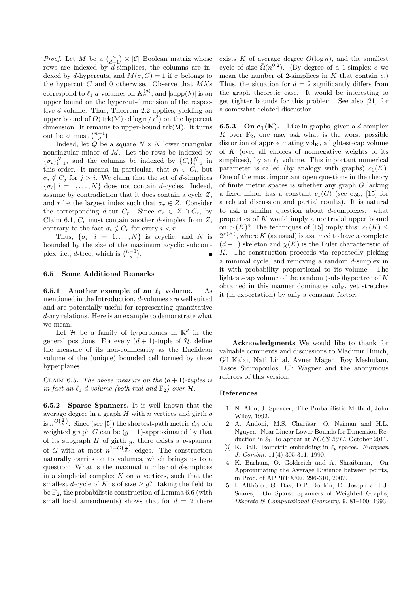*Proof.* Let M be a  $\binom{n}{d+1} \times |\mathcal{C}|$  Boolean matrix whose rows are indexed by d-simplices, the columns are indexed by d-hypercuts, and  $M(\sigma, C) = 1$  if  $\sigma$  belongs to the hypercut C and 0 otherwise. Observe that  $M\lambda$ 's correspond to  $\ell_1$  d-volumes on  $K_n^{(d)}$ , and  $|\text{supp}(\lambda)|$  is an upper bound on the hypercut-dimension of the respective d-volume. Thus, Theorem 2.2 applies, yielding an upper bound of  $O(\text{trk}(M) \cdot d \log n / \epsilon^2)$  on the hypercut dimension. It remains to upper-bound  $trk(M)$ . It turns out be at most  $\binom{n-1}{d}$ .

Indeed, let  $Q$  be a square  $N \times N$  lower triangular nonsingular minor of  $M$ . Let the rows be indexed by  ${\{\sigma_i\}}_{i=1}^N$ , and the columns be indexed by  ${C_i}_{i=1}^N$  in this order. It means, in particular, that  $\sigma_i \in C_i$ , but  $\sigma_i \notin C_j$  for  $j > i$ . We claim that the set of d-simplices  $\{\sigma_i \mid i = 1, \ldots, N\}$  does not contain *d*-cycles. Indeed, assume by contradiction that it does contain a cycle Z, and r be the largest index such that  $\sigma_r \in Z$ . Consider the corresponding d-cut  $C_r$ . Since  $\sigma_r \in Z \cap C_r$ , by Claim 6.1,  $C_r$  must contain another d-simplex from Z, contrary to the fact  $\sigma_i \notin C_r$  for every  $i < r$ .

Thus,  $\{\sigma_i \vert i = 1, ..., N\}$  is acyclic, and N is bounded by the size of the maximum acyclic subcomplex, i.e.,  $d$ -tree, which is  $\binom{n-1}{d}$ .  $\blacksquare$ 

# 6.5 Some Additional Remarks

6.5.1 Another example of an  $\ell_1$  volume. As mentioned in the Introduction, d-volumes are well suited and are potentially useful for representing quantitative d-ary relations. Here is an example to demonstrate what we mean.

Let  $\mathcal H$  be a family of hyperplanes in  $\mathbb R^d$  in the general positions. For every  $(d+1)$ -tuple of H, define the measure of its non-collinearity as the Euclidean volume of the (unique) bounded cell formed by these hyperplanes.

CLAIM 6.5. The above measure on the  $(d+1)$ -tuples is in fact an  $\ell_1$  d-volume (both real and  $\mathbb{F}_2$ ) over H.

6.5.2 Sparse Spanners. It is well known that the average degree in a graph  $H$  with n vertices and girth  $g$ is  $n^{O\left(\frac{1}{g}\right)}$ . Since (see [5]) the shortest-path metric  $d_G$  of a weighted graph G can be  $(g-1)$ -approximated by that of its subgraph  $H$  of girth  $g$ , there exists a  $g$ -spanner of G with at most  $n^{1+O(\frac{1}{g})}$  edges. The construction naturally carries on to volumes, which brings us to a question: What is the maximal number of  $d$ -simplices in a simplicial complex  $K$  on  $n$  vertices, such that the smallest d-cycle of K is of size  $\geq q$ ? Taking the field to be  $\mathbb{F}_2$ , the probabilistic construction of Lemma 6.6 (with small local amendments) shows that for  $d = 2$  there exists K of average degree  $O(\log n)$ , and the smallest cycle of size  $\tilde{\Omega}(n^{0.2})$ . (By degree of a 1-simplex e we mean the number of 2-simplices in  $K$  that contain  $e$ .) Thus, the situation for  $d = 2$  significantly differs from the graph theoretic case. It would be interesting to get tighter bounds for this problem. See also [21] for a somewhat related discussion.

**6.5.3** On  $c_1(K)$ . Like in graphs, given a *d*-complex K over  $\mathbb{F}_2$ , one may ask what is the worst possible distortion of approximating  $\mathrm{vol}_K$ , a lightest-cap volume of  $K$  (over all choices of nonnegative weights of its simplices), by an  $\ell_1$  volume. This important numerical parameter is called (by analogy with graphs)  $c_1(K)$ . One of the most important open questions in the theory of finite metric spaces is whether any graph G lacking a fixed minor has a constant  $c_1(G)$  (see e.g., [15] for a related discussion and partial results). It is natural to ask a similar question about  $d$ -complexes: what properties of  $K$  would imply a nontrivial upper bound on  $c_1(K)$ ? The techniques of [15] imply this:  $c_1(K) \leq$  $2^{\chi(K)}$ , where K (as usual) is assumed to have a complete  $(d-1)$  skeleton and  $\chi(K)$  is the Euler characteristic of K. The construction proceeds via repeatedly picking a minimal cycle, and removing a random d-simplex in it with probability proportional to its volume. The lightest-cap volume of the random (sub-)hypertree of  $K$ obtained in this manner dominates  $vol<sub>K</sub>$ , yet stretches it (in expectation) by only a constant factor.

Acknowledgments We would like to thank for valuable comments and discussions to Vladimir Hinich, Gil Kalai, Nati Linial, Avner Magen, Roy Meshulam, Tasos Sidiropoulos, Uli Wagner and the anonymous referees of this version.

#### References

- [1] N. Alon, J. Spencer, The Probabilistic Method, John Wiley, 1992.
- [2] A. Andoni, M.S. Charikar, O. Neiman and H.L. Nguyen. Near Linear Lower Bounds for Dimension Reduction in  $\ell_1$ . to appear at *FOCS 2011*, October 2011.
- [3] K. Ball. Isometric embedding in  $\ell_p$ -spaces. European J. Combin. 11(4) 305-311, 1990.
- [4] K. Barhum, O. Goldreich and A. Shraibman, On Approximating the Average Distance between points, in Proc. of APPRPX'07, 296-310, 2007.
- [5] I. Althöfer, G. Das, D.P. Dobkin, D. Joseph and J. Soares, On Sparse Spanners of Weighted Graphs, Discrete & Computational Geometry, 9, 81–100, 1993.